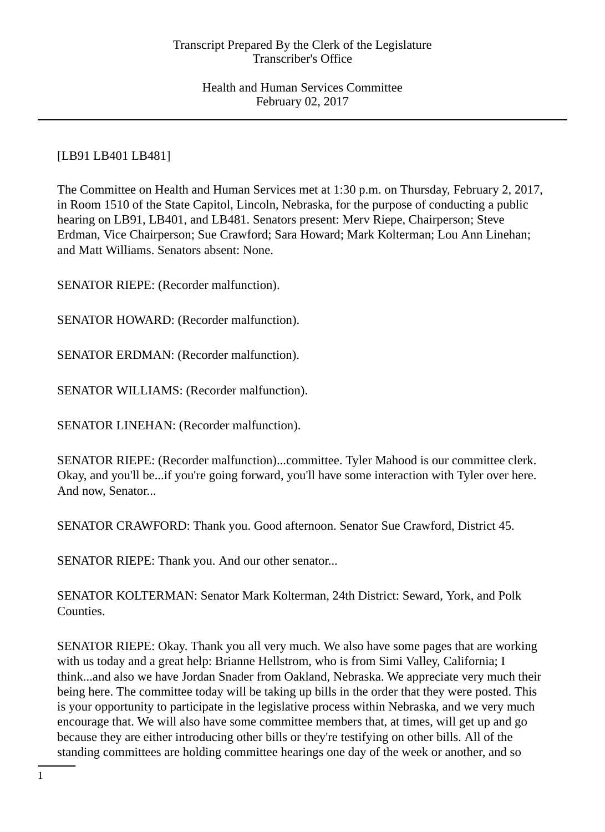# [LB91 LB401 LB481]

The Committee on Health and Human Services met at 1:30 p.m. on Thursday, February 2, 2017, in Room 1510 of the State Capitol, Lincoln, Nebraska, for the purpose of conducting a public hearing on LB91, LB401, and LB481. Senators present: Merv Riepe, Chairperson; Steve Erdman, Vice Chairperson; Sue Crawford; Sara Howard; Mark Kolterman; Lou Ann Linehan; and Matt Williams. Senators absent: None.

SENATOR RIEPE: (Recorder malfunction).

SENATOR HOWARD: (Recorder malfunction).

SENATOR ERDMAN: (Recorder malfunction).

SENATOR WILLIAMS: (Recorder malfunction).

SENATOR LINEHAN: (Recorder malfunction).

SENATOR RIEPE: (Recorder malfunction)...committee. Tyler Mahood is our committee clerk. Okay, and you'll be...if you're going forward, you'll have some interaction with Tyler over here. And now, Senator...

SENATOR CRAWFORD: Thank you. Good afternoon. Senator Sue Crawford, District 45.

SENATOR RIEPE: Thank you. And our other senator...

SENATOR KOLTERMAN: Senator Mark Kolterman, 24th District: Seward, York, and Polk Counties.

SENATOR RIEPE: Okay. Thank you all very much. We also have some pages that are working with us today and a great help: Brianne Hellstrom, who is from Simi Valley, California; I think...and also we have Jordan Snader from Oakland, Nebraska. We appreciate very much their being here. The committee today will be taking up bills in the order that they were posted. This is your opportunity to participate in the legislative process within Nebraska, and we very much encourage that. We will also have some committee members that, at times, will get up and go because they are either introducing other bills or they're testifying on other bills. All of the standing committees are holding committee hearings one day of the week or another, and so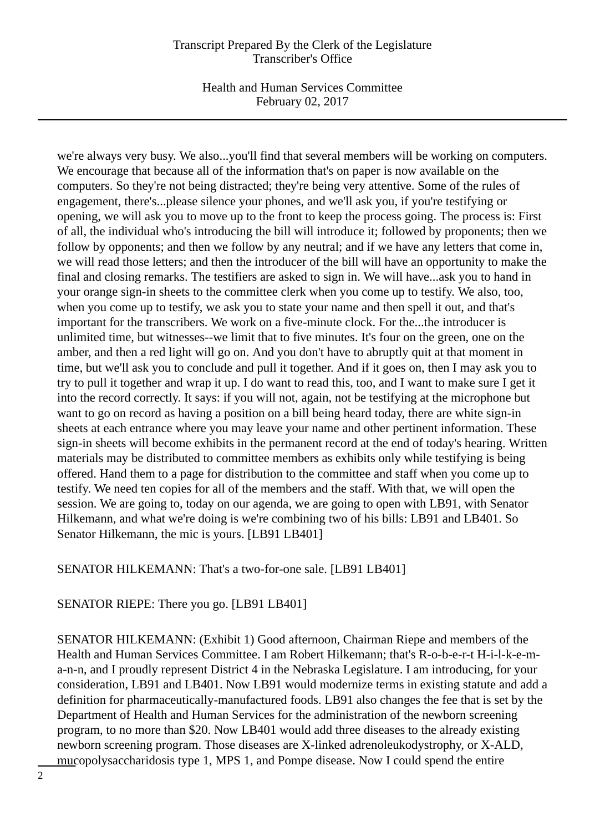Health and Human Services Committee February 02, 2017

we're always very busy. We also...you'll find that several members will be working on computers. We encourage that because all of the information that's on paper is now available on the computers. So they're not being distracted; they're being very attentive. Some of the rules of engagement, there's...please silence your phones, and we'll ask you, if you're testifying or opening, we will ask you to move up to the front to keep the process going. The process is: First of all, the individual who's introducing the bill will introduce it; followed by proponents; then we follow by opponents; and then we follow by any neutral; and if we have any letters that come in, we will read those letters; and then the introducer of the bill will have an opportunity to make the final and closing remarks. The testifiers are asked to sign in. We will have...ask you to hand in your orange sign-in sheets to the committee clerk when you come up to testify. We also, too, when you come up to testify, we ask you to state your name and then spell it out, and that's important for the transcribers. We work on a five-minute clock. For the...the introducer is unlimited time, but witnesses--we limit that to five minutes. It's four on the green, one on the amber, and then a red light will go on. And you don't have to abruptly quit at that moment in time, but we'll ask you to conclude and pull it together. And if it goes on, then I may ask you to try to pull it together and wrap it up. I do want to read this, too, and I want to make sure I get it into the record correctly. It says: if you will not, again, not be testifying at the microphone but want to go on record as having a position on a bill being heard today, there are white sign-in sheets at each entrance where you may leave your name and other pertinent information. These sign-in sheets will become exhibits in the permanent record at the end of today's hearing. Written materials may be distributed to committee members as exhibits only while testifying is being offered. Hand them to a page for distribution to the committee and staff when you come up to testify. We need ten copies for all of the members and the staff. With that, we will open the session. We are going to, today on our agenda, we are going to open with LB91, with Senator Hilkemann, and what we're doing is we're combining two of his bills: LB91 and LB401. So Senator Hilkemann, the mic is yours. [LB91 LB401]

SENATOR HILKEMANN: That's a two-for-one sale. [LB91 LB401]

SENATOR RIEPE: There you go. [LB91 LB401]

SENATOR HILKEMANN: (Exhibit 1) Good afternoon, Chairman Riepe and members of the Health and Human Services Committee. I am Robert Hilkemann; that's R-o-b-e-r-t H-i-l-k-e-ma-n-n, and I proudly represent District 4 in the Nebraska Legislature. I am introducing, for your consideration, LB91 and LB401. Now LB91 would modernize terms in existing statute and add a definition for pharmaceutically-manufactured foods. LB91 also changes the fee that is set by the Department of Health and Human Services for the administration of the newborn screening program, to no more than \$20. Now LB401 would add three diseases to the already existing newborn screening program. Those diseases are X-linked adrenoleukodystrophy, or X-ALD, mucopolysaccharidosis type 1, MPS 1, and Pompe disease. Now I could spend the entire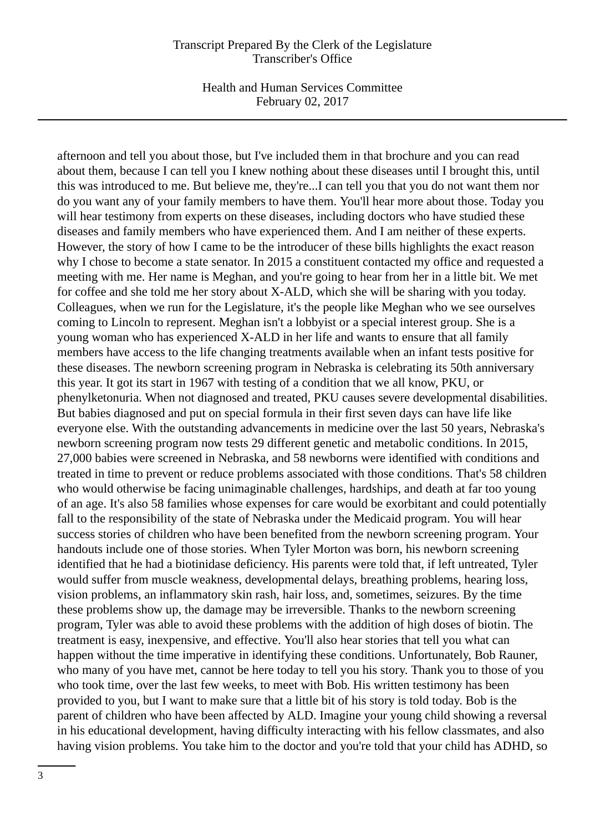Health and Human Services Committee February 02, 2017

afternoon and tell you about those, but I've included them in that brochure and you can read about them, because I can tell you I knew nothing about these diseases until I brought this, until this was introduced to me. But believe me, they're...I can tell you that you do not want them nor do you want any of your family members to have them. You'll hear more about those. Today you will hear testimony from experts on these diseases, including doctors who have studied these diseases and family members who have experienced them. And I am neither of these experts. However, the story of how I came to be the introducer of these bills highlights the exact reason why I chose to become a state senator. In 2015 a constituent contacted my office and requested a meeting with me. Her name is Meghan, and you're going to hear from her in a little bit. We met for coffee and she told me her story about X-ALD, which she will be sharing with you today. Colleagues, when we run for the Legislature, it's the people like Meghan who we see ourselves coming to Lincoln to represent. Meghan isn't a lobbyist or a special interest group. She is a young woman who has experienced X-ALD in her life and wants to ensure that all family members have access to the life changing treatments available when an infant tests positive for these diseases. The newborn screening program in Nebraska is celebrating its 50th anniversary this year. It got its start in 1967 with testing of a condition that we all know, PKU, or phenylketonuria. When not diagnosed and treated, PKU causes severe developmental disabilities. But babies diagnosed and put on special formula in their first seven days can have life like everyone else. With the outstanding advancements in medicine over the last 50 years, Nebraska's newborn screening program now tests 29 different genetic and metabolic conditions. In 2015, 27,000 babies were screened in Nebraska, and 58 newborns were identified with conditions and treated in time to prevent or reduce problems associated with those conditions. That's 58 children who would otherwise be facing unimaginable challenges, hardships, and death at far too young of an age. It's also 58 families whose expenses for care would be exorbitant and could potentially fall to the responsibility of the state of Nebraska under the Medicaid program. You will hear success stories of children who have been benefited from the newborn screening program. Your handouts include one of those stories. When Tyler Morton was born, his newborn screening identified that he had a biotinidase deficiency. His parents were told that, if left untreated, Tyler would suffer from muscle weakness, developmental delays, breathing problems, hearing loss, vision problems, an inflammatory skin rash, hair loss, and, sometimes, seizures. By the time these problems show up, the damage may be irreversible. Thanks to the newborn screening program, Tyler was able to avoid these problems with the addition of high doses of biotin. The treatment is easy, inexpensive, and effective. You'll also hear stories that tell you what can happen without the time imperative in identifying these conditions. Unfortunately, Bob Rauner, who many of you have met, cannot be here today to tell you his story. Thank you to those of you who took time, over the last few weeks, to meet with Bob. His written testimony has been provided to you, but I want to make sure that a little bit of his story is told today. Bob is the parent of children who have been affected by ALD. Imagine your young child showing a reversal in his educational development, having difficulty interacting with his fellow classmates, and also having vision problems. You take him to the doctor and you're told that your child has ADHD, so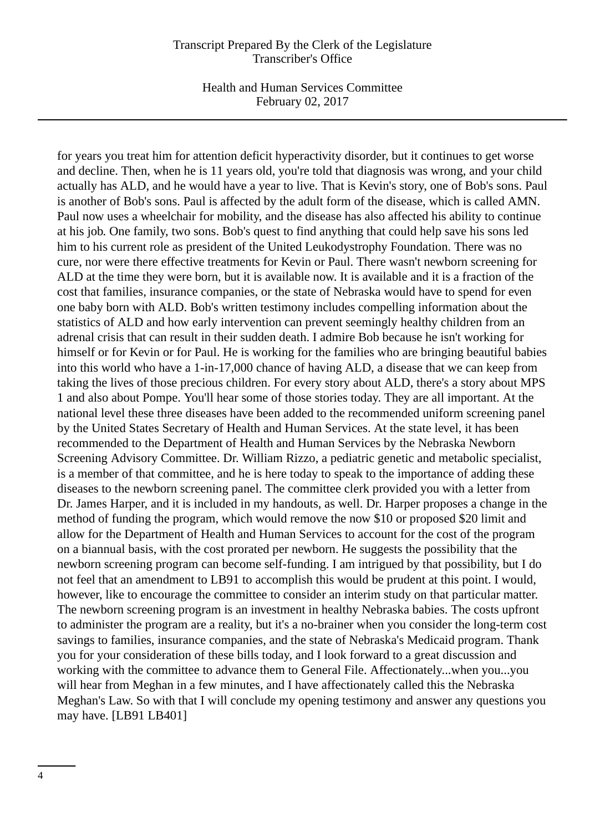Health and Human Services Committee February 02, 2017

for years you treat him for attention deficit hyperactivity disorder, but it continues to get worse and decline. Then, when he is 11 years old, you're told that diagnosis was wrong, and your child actually has ALD, and he would have a year to live. That is Kevin's story, one of Bob's sons. Paul is another of Bob's sons. Paul is affected by the adult form of the disease, which is called AMN. Paul now uses a wheelchair for mobility, and the disease has also affected his ability to continue at his job. One family, two sons. Bob's quest to find anything that could help save his sons led him to his current role as president of the United Leukodystrophy Foundation. There was no cure, nor were there effective treatments for Kevin or Paul. There wasn't newborn screening for ALD at the time they were born, but it is available now. It is available and it is a fraction of the cost that families, insurance companies, or the state of Nebraska would have to spend for even one baby born with ALD. Bob's written testimony includes compelling information about the statistics of ALD and how early intervention can prevent seemingly healthy children from an adrenal crisis that can result in their sudden death. I admire Bob because he isn't working for himself or for Kevin or for Paul. He is working for the families who are bringing beautiful babies into this world who have a 1-in-17,000 chance of having ALD, a disease that we can keep from taking the lives of those precious children. For every story about ALD, there's a story about MPS 1 and also about Pompe. You'll hear some of those stories today. They are all important. At the national level these three diseases have been added to the recommended uniform screening panel by the United States Secretary of Health and Human Services. At the state level, it has been recommended to the Department of Health and Human Services by the Nebraska Newborn Screening Advisory Committee. Dr. William Rizzo, a pediatric genetic and metabolic specialist, is a member of that committee, and he is here today to speak to the importance of adding these diseases to the newborn screening panel. The committee clerk provided you with a letter from Dr. James Harper, and it is included in my handouts, as well. Dr. Harper proposes a change in the method of funding the program, which would remove the now \$10 or proposed \$20 limit and allow for the Department of Health and Human Services to account for the cost of the program on a biannual basis, with the cost prorated per newborn. He suggests the possibility that the newborn screening program can become self-funding. I am intrigued by that possibility, but I do not feel that an amendment to LB91 to accomplish this would be prudent at this point. I would, however, like to encourage the committee to consider an interim study on that particular matter. The newborn screening program is an investment in healthy Nebraska babies. The costs upfront to administer the program are a reality, but it's a no-brainer when you consider the long-term cost savings to families, insurance companies, and the state of Nebraska's Medicaid program. Thank you for your consideration of these bills today, and I look forward to a great discussion and working with the committee to advance them to General File. Affectionately...when you...you will hear from Meghan in a few minutes, and I have affectionately called this the Nebraska Meghan's Law. So with that I will conclude my opening testimony and answer any questions you may have. [LB91 LB401]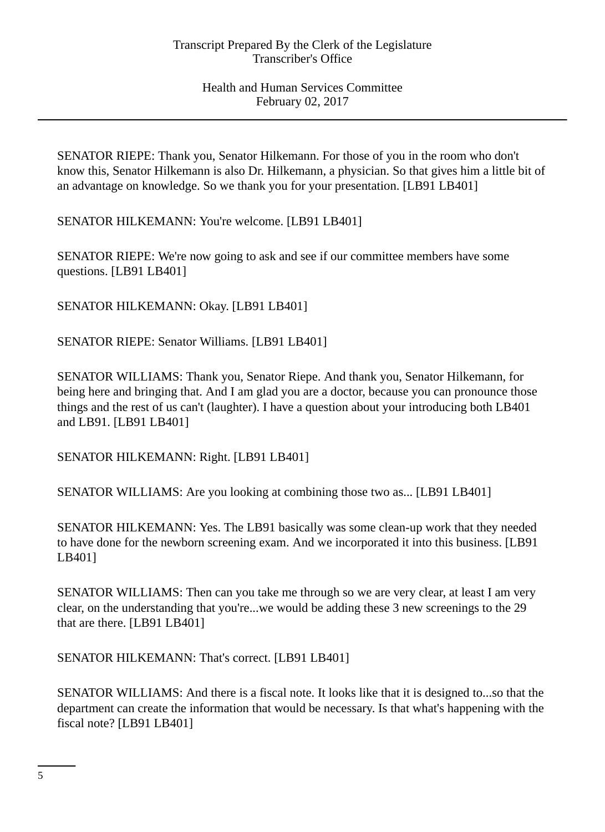SENATOR RIEPE: Thank you, Senator Hilkemann. For those of you in the room who don't know this, Senator Hilkemann is also Dr. Hilkemann, a physician. So that gives him a little bit of an advantage on knowledge. So we thank you for your presentation. [LB91 LB401]

SENATOR HILKEMANN: You're welcome. [LB91 LB401]

SENATOR RIEPE: We're now going to ask and see if our committee members have some questions. [LB91 LB401]

SENATOR HILKEMANN: Okay. [LB91 LB401]

SENATOR RIEPE: Senator Williams. [LB91 LB401]

SENATOR WILLIAMS: Thank you, Senator Riepe. And thank you, Senator Hilkemann, for being here and bringing that. And I am glad you are a doctor, because you can pronounce those things and the rest of us can't (laughter). I have a question about your introducing both LB401 and LB91. [LB91 LB401]

SENATOR HILKEMANN: Right. [LB91 LB401]

SENATOR WILLIAMS: Are you looking at combining those two as... [LB91 LB401]

SENATOR HILKEMANN: Yes. The LB91 basically was some clean-up work that they needed to have done for the newborn screening exam. And we incorporated it into this business. [LB91 LB401]

SENATOR WILLIAMS: Then can you take me through so we are very clear, at least I am very clear, on the understanding that you're...we would be adding these 3 new screenings to the 29 that are there. [LB91 LB401]

SENATOR HILKEMANN: That's correct. [LB91 LB401]

SENATOR WILLIAMS: And there is a fiscal note. It looks like that it is designed to...so that the department can create the information that would be necessary. Is that what's happening with the fiscal note? [LB91 LB401]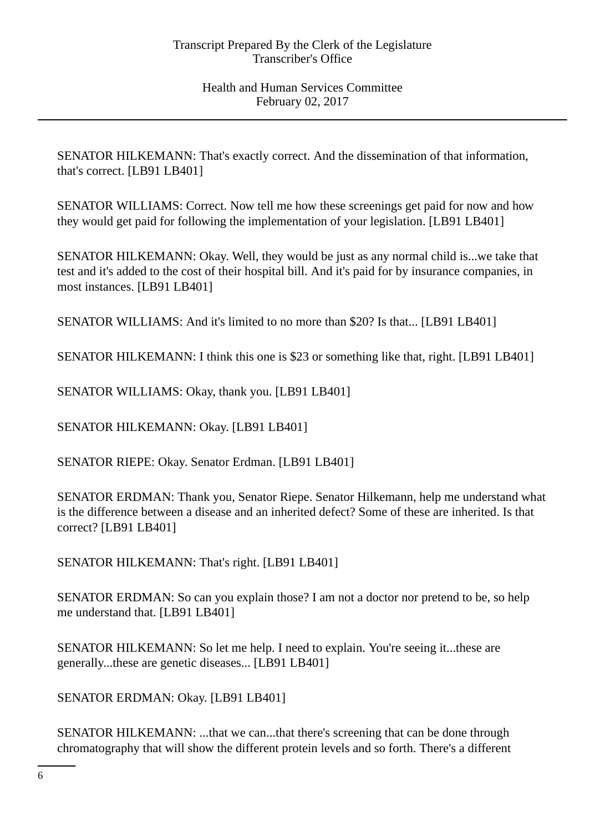SENATOR HILKEMANN: That's exactly correct. And the dissemination of that information, that's correct. [LB91 LB401]

SENATOR WILLIAMS: Correct. Now tell me how these screenings get paid for now and how they would get paid for following the implementation of your legislation. [LB91 LB401]

SENATOR HILKEMANN: Okay. Well, they would be just as any normal child is...we take that test and it's added to the cost of their hospital bill. And it's paid for by insurance companies, in most instances. [LB91 LB401]

SENATOR WILLIAMS: And it's limited to no more than \$20? Is that... [LB91 LB401]

SENATOR HILKEMANN: I think this one is \$23 or something like that, right. [LB91 LB401]

SENATOR WILLIAMS: Okay, thank you. [LB91 LB401]

SENATOR HILKEMANN: Okay. [LB91 LB401]

SENATOR RIEPE: Okay. Senator Erdman. [LB91 LB401]

SENATOR ERDMAN: Thank you, Senator Riepe. Senator Hilkemann, help me understand what is the difference between a disease and an inherited defect? Some of these are inherited. Is that correct? [LB91 LB401]

SENATOR HILKEMANN: That's right. [LB91 LB401]

SENATOR ERDMAN: So can you explain those? I am not a doctor nor pretend to be, so help me understand that. [LB91 LB401]

SENATOR HILKEMANN: So let me help. I need to explain. You're seeing it...these are generally...these are genetic diseases... [LB91 LB401]

SENATOR ERDMAN: Okay. [LB91 LB401]

SENATOR HILKEMANN: ...that we can...that there's screening that can be done through chromatography that will show the different protein levels and so forth. There's a different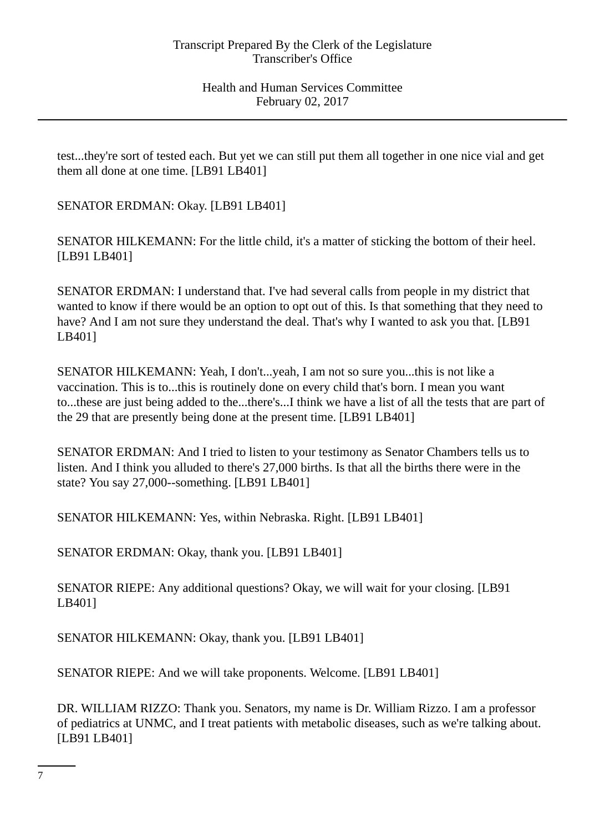test...they're sort of tested each. But yet we can still put them all together in one nice vial and get them all done at one time. [LB91 LB401]

SENATOR ERDMAN: Okay. [LB91 LB401]

SENATOR HILKEMANN: For the little child, it's a matter of sticking the bottom of their heel. [LB91 LB401]

SENATOR ERDMAN: I understand that. I've had several calls from people in my district that wanted to know if there would be an option to opt out of this. Is that something that they need to have? And I am not sure they understand the deal. That's why I wanted to ask you that. [LB91] LB401]

SENATOR HILKEMANN: Yeah, I don't...yeah, I am not so sure you...this is not like a vaccination. This is to...this is routinely done on every child that's born. I mean you want to...these are just being added to the...there's...I think we have a list of all the tests that are part of the 29 that are presently being done at the present time. [LB91 LB401]

SENATOR ERDMAN: And I tried to listen to your testimony as Senator Chambers tells us to listen. And I think you alluded to there's 27,000 births. Is that all the births there were in the state? You say 27,000--something. [LB91 LB401]

SENATOR HILKEMANN: Yes, within Nebraska. Right. [LB91 LB401]

SENATOR ERDMAN: Okay, thank you. [LB91 LB401]

SENATOR RIEPE: Any additional questions? Okay, we will wait for your closing. [LB91 LB401]

SENATOR HILKEMANN: Okay, thank you. [LB91 LB401]

SENATOR RIEPE: And we will take proponents. Welcome. [LB91 LB401]

DR. WILLIAM RIZZO: Thank you. Senators, my name is Dr. William Rizzo. I am a professor of pediatrics at UNMC, and I treat patients with metabolic diseases, such as we're talking about. [LB91 LB401]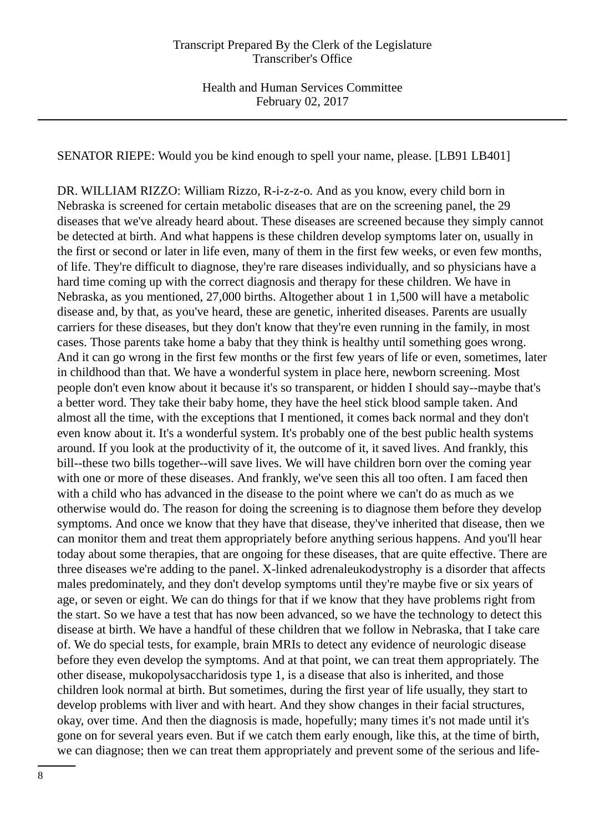SENATOR RIEPE: Would you be kind enough to spell your name, please. [LB91 LB401]

DR. WILLIAM RIZZO: William Rizzo, R-i-z-z-o. And as you know, every child born in Nebraska is screened for certain metabolic diseases that are on the screening panel, the 29 diseases that we've already heard about. These diseases are screened because they simply cannot be detected at birth. And what happens is these children develop symptoms later on, usually in the first or second or later in life even, many of them in the first few weeks, or even few months, of life. They're difficult to diagnose, they're rare diseases individually, and so physicians have a hard time coming up with the correct diagnosis and therapy for these children. We have in Nebraska, as you mentioned, 27,000 births. Altogether about 1 in 1,500 will have a metabolic disease and, by that, as you've heard, these are genetic, inherited diseases. Parents are usually carriers for these diseases, but they don't know that they're even running in the family, in most cases. Those parents take home a baby that they think is healthy until something goes wrong. And it can go wrong in the first few months or the first few years of life or even, sometimes, later in childhood than that. We have a wonderful system in place here, newborn screening. Most people don't even know about it because it's so transparent, or hidden I should say--maybe that's a better word. They take their baby home, they have the heel stick blood sample taken. And almost all the time, with the exceptions that I mentioned, it comes back normal and they don't even know about it. It's a wonderful system. It's probably one of the best public health systems around. If you look at the productivity of it, the outcome of it, it saved lives. And frankly, this bill--these two bills together--will save lives. We will have children born over the coming year with one or more of these diseases. And frankly, we've seen this all too often. I am faced then with a child who has advanced in the disease to the point where we can't do as much as we otherwise would do. The reason for doing the screening is to diagnose them before they develop symptoms. And once we know that they have that disease, they've inherited that disease, then we can monitor them and treat them appropriately before anything serious happens. And you'll hear today about some therapies, that are ongoing for these diseases, that are quite effective. There are three diseases we're adding to the panel. X-linked adrenaleukodystrophy is a disorder that affects males predominately, and they don't develop symptoms until they're maybe five or six years of age, or seven or eight. We can do things for that if we know that they have problems right from the start. So we have a test that has now been advanced, so we have the technology to detect this disease at birth. We have a handful of these children that we follow in Nebraska, that I take care of. We do special tests, for example, brain MRIs to detect any evidence of neurologic disease before they even develop the symptoms. And at that point, we can treat them appropriately. The other disease, mukopolysaccharidosis type 1, is a disease that also is inherited, and those children look normal at birth. But sometimes, during the first year of life usually, they start to develop problems with liver and with heart. And they show changes in their facial structures, okay, over time. And then the diagnosis is made, hopefully; many times it's not made until it's gone on for several years even. But if we catch them early enough, like this, at the time of birth, we can diagnose; then we can treat them appropriately and prevent some of the serious and life-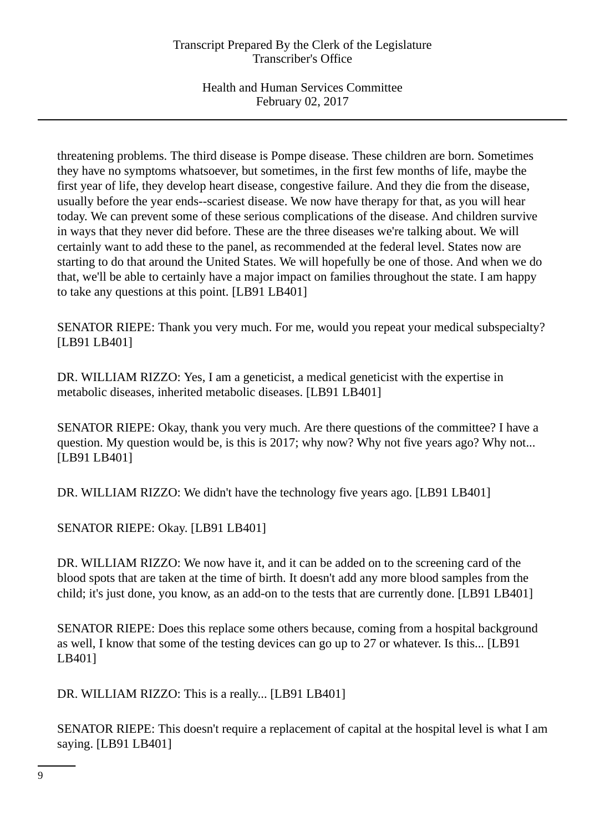threatening problems. The third disease is Pompe disease. These children are born. Sometimes they have no symptoms whatsoever, but sometimes, in the first few months of life, maybe the first year of life, they develop heart disease, congestive failure. And they die from the disease, usually before the year ends--scariest disease. We now have therapy for that, as you will hear today. We can prevent some of these serious complications of the disease. And children survive in ways that they never did before. These are the three diseases we're talking about. We will certainly want to add these to the panel, as recommended at the federal level. States now are starting to do that around the United States. We will hopefully be one of those. And when we do that, we'll be able to certainly have a major impact on families throughout the state. I am happy to take any questions at this point. [LB91 LB401]

SENATOR RIEPE: Thank you very much. For me, would you repeat your medical subspecialty? [LB91 LB401]

DR. WILLIAM RIZZO: Yes, I am a geneticist, a medical geneticist with the expertise in metabolic diseases, inherited metabolic diseases. [LB91 LB401]

SENATOR RIEPE: Okay, thank you very much. Are there questions of the committee? I have a question. My question would be, is this is 2017; why now? Why not five years ago? Why not... [LB91 LB401]

DR. WILLIAM RIZZO: We didn't have the technology five years ago. [LB91 LB401]

SENATOR RIEPE: Okay. [LB91 LB401]

DR. WILLIAM RIZZO: We now have it, and it can be added on to the screening card of the blood spots that are taken at the time of birth. It doesn't add any more blood samples from the child; it's just done, you know, as an add-on to the tests that are currently done. [LB91 LB401]

SENATOR RIEPE: Does this replace some others because, coming from a hospital background as well, I know that some of the testing devices can go up to 27 or whatever. Is this... [LB91 LB401]

DR. WILLIAM RIZZO: This is a really... [LB91 LB401]

SENATOR RIEPE: This doesn't require a replacement of capital at the hospital level is what I am saying. [LB91 LB401]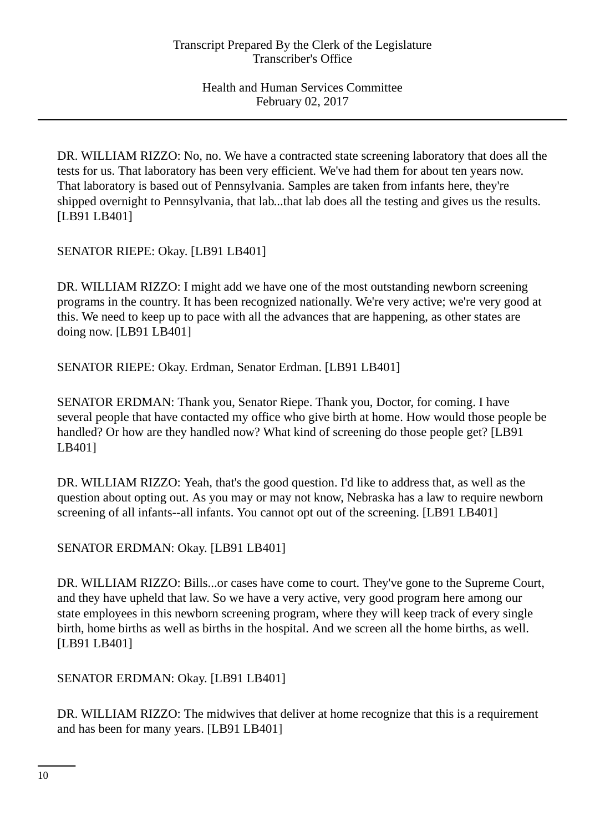DR. WILLIAM RIZZO: No, no. We have a contracted state screening laboratory that does all the tests for us. That laboratory has been very efficient. We've had them for about ten years now. That laboratory is based out of Pennsylvania. Samples are taken from infants here, they're shipped overnight to Pennsylvania, that lab...that lab does all the testing and gives us the results. [LB91 LB401]

SENATOR RIEPE: Okay. [LB91 LB401]

DR. WILLIAM RIZZO: I might add we have one of the most outstanding newborn screening programs in the country. It has been recognized nationally. We're very active; we're very good at this. We need to keep up to pace with all the advances that are happening, as other states are doing now. [LB91 LB401]

SENATOR RIEPE: Okay. Erdman, Senator Erdman. [LB91 LB401]

SENATOR ERDMAN: Thank you, Senator Riepe. Thank you, Doctor, for coming. I have several people that have contacted my office who give birth at home. How would those people be handled? Or how are they handled now? What kind of screening do those people get? [LB91] LB401]

DR. WILLIAM RIZZO: Yeah, that's the good question. I'd like to address that, as well as the question about opting out. As you may or may not know, Nebraska has a law to require newborn screening of all infants--all infants. You cannot opt out of the screening. [LB91 LB401]

SENATOR ERDMAN: Okay. [LB91 LB401]

DR. WILLIAM RIZZO: Bills...or cases have come to court. They've gone to the Supreme Court, and they have upheld that law. So we have a very active, very good program here among our state employees in this newborn screening program, where they will keep track of every single birth, home births as well as births in the hospital. And we screen all the home births, as well. [LB91 LB401]

SENATOR ERDMAN: Okay. [LB91 LB401]

DR. WILLIAM RIZZO: The midwives that deliver at home recognize that this is a requirement and has been for many years. [LB91 LB401]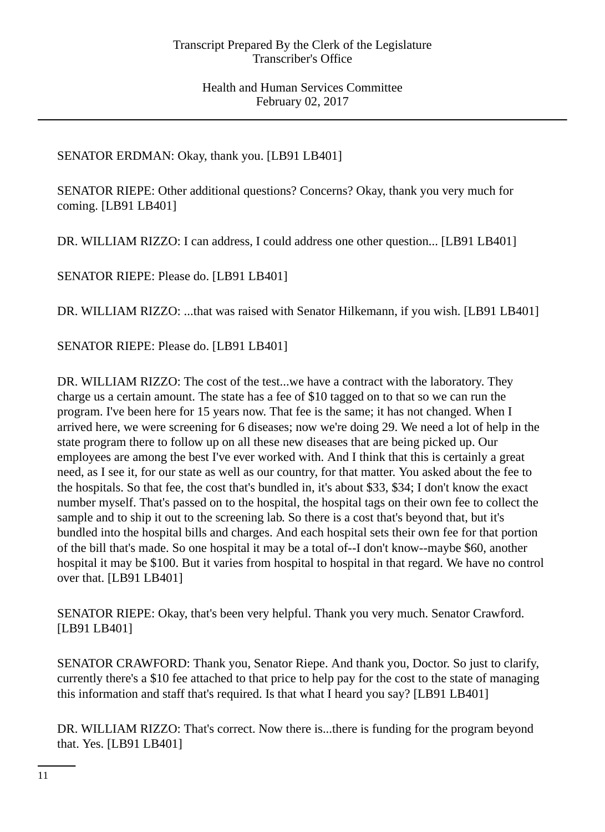# SENATOR ERDMAN: Okay, thank you. [LB91 LB401]

SENATOR RIEPE: Other additional questions? Concerns? Okay, thank you very much for coming. [LB91 LB401]

DR. WILLIAM RIZZO: I can address, I could address one other question... [LB91 LB401]

SENATOR RIEPE: Please do. [LB91 LB401]

DR. WILLIAM RIZZO: ...that was raised with Senator Hilkemann, if you wish. [LB91 LB401]

SENATOR RIEPE: Please do. [LB91 LB401]

DR. WILLIAM RIZZO: The cost of the test...we have a contract with the laboratory. They charge us a certain amount. The state has a fee of \$10 tagged on to that so we can run the program. I've been here for 15 years now. That fee is the same; it has not changed. When I arrived here, we were screening for 6 diseases; now we're doing 29. We need a lot of help in the state program there to follow up on all these new diseases that are being picked up. Our employees are among the best I've ever worked with. And I think that this is certainly a great need, as I see it, for our state as well as our country, for that matter. You asked about the fee to the hospitals. So that fee, the cost that's bundled in, it's about \$33, \$34; I don't know the exact number myself. That's passed on to the hospital, the hospital tags on their own fee to collect the sample and to ship it out to the screening lab. So there is a cost that's beyond that, but it's bundled into the hospital bills and charges. And each hospital sets their own fee for that portion of the bill that's made. So one hospital it may be a total of--I don't know--maybe \$60, another hospital it may be \$100. But it varies from hospital to hospital in that regard. We have no control over that. [LB91 LB401]

SENATOR RIEPE: Okay, that's been very helpful. Thank you very much. Senator Crawford. [LB91 LB401]

SENATOR CRAWFORD: Thank you, Senator Riepe. And thank you, Doctor. So just to clarify, currently there's a \$10 fee attached to that price to help pay for the cost to the state of managing this information and staff that's required. Is that what I heard you say? [LB91 LB401]

DR. WILLIAM RIZZO: That's correct. Now there is...there is funding for the program beyond that. Yes. [LB91 LB401]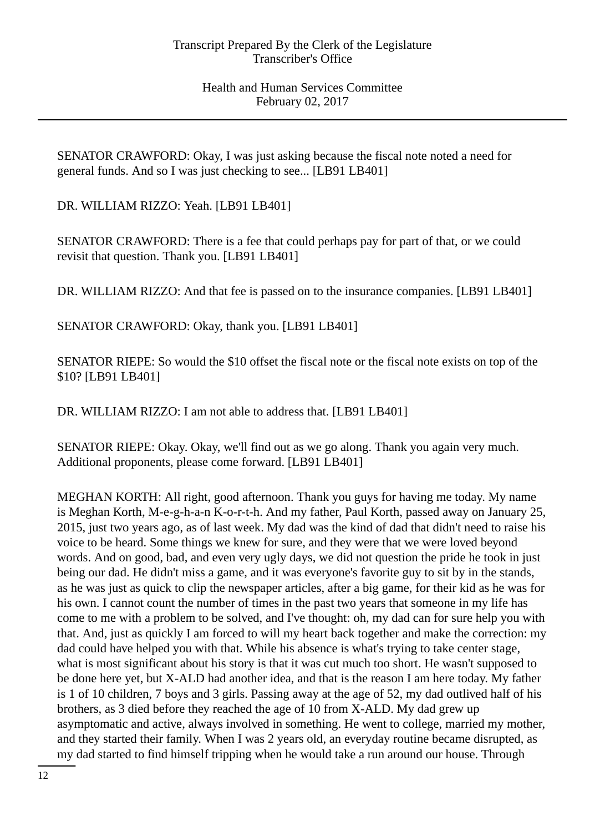SENATOR CRAWFORD: Okay, I was just asking because the fiscal note noted a need for general funds. And so I was just checking to see... [LB91 LB401]

DR. WILLIAM RIZZO: Yeah. [LB91 LB401]

SENATOR CRAWFORD: There is a fee that could perhaps pay for part of that, or we could revisit that question. Thank you. [LB91 LB401]

DR. WILLIAM RIZZO: And that fee is passed on to the insurance companies. [LB91 LB401]

SENATOR CRAWFORD: Okay, thank you. [LB91 LB401]

SENATOR RIEPE: So would the \$10 offset the fiscal note or the fiscal note exists on top of the \$10? [LB91 LB401]

DR. WILLIAM RIZZO: I am not able to address that. [LB91 LB401]

SENATOR RIEPE: Okay. Okay, we'll find out as we go along. Thank you again very much. Additional proponents, please come forward. [LB91 LB401]

MEGHAN KORTH: All right, good afternoon. Thank you guys for having me today. My name is Meghan Korth, M-e-g-h-a-n K-o-r-t-h. And my father, Paul Korth, passed away on January 25, 2015, just two years ago, as of last week. My dad was the kind of dad that didn't need to raise his voice to be heard. Some things we knew for sure, and they were that we were loved beyond words. And on good, bad, and even very ugly days, we did not question the pride he took in just being our dad. He didn't miss a game, and it was everyone's favorite guy to sit by in the stands, as he was just as quick to clip the newspaper articles, after a big game, for their kid as he was for his own. I cannot count the number of times in the past two years that someone in my life has come to me with a problem to be solved, and I've thought: oh, my dad can for sure help you with that. And, just as quickly I am forced to will my heart back together and make the correction: my dad could have helped you with that. While his absence is what's trying to take center stage, what is most significant about his story is that it was cut much too short. He wasn't supposed to be done here yet, but X-ALD had another idea, and that is the reason I am here today. My father is 1 of 10 children, 7 boys and 3 girls. Passing away at the age of 52, my dad outlived half of his brothers, as 3 died before they reached the age of 10 from X-ALD. My dad grew up asymptomatic and active, always involved in something. He went to college, married my mother, and they started their family. When I was 2 years old, an everyday routine became disrupted, as my dad started to find himself tripping when he would take a run around our house. Through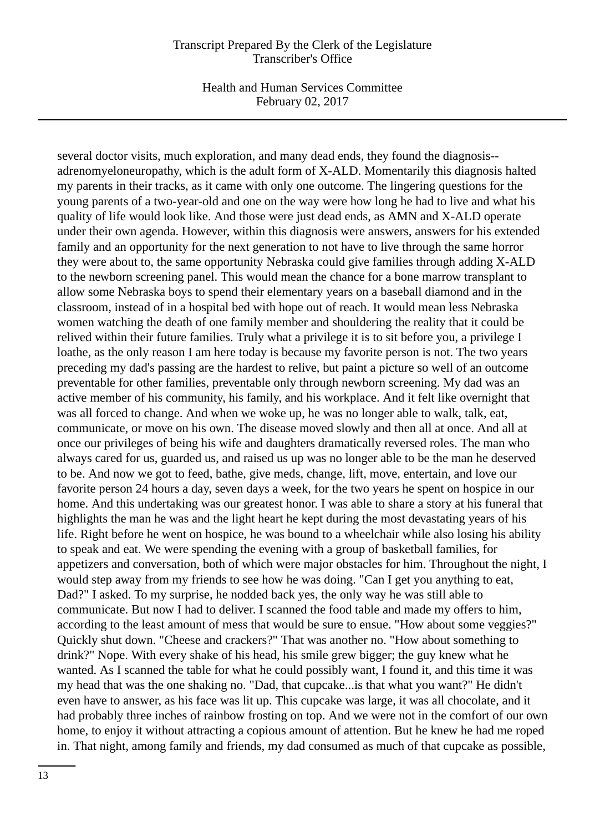Health and Human Services Committee February 02, 2017

several doctor visits, much exploration, and many dead ends, they found the diagnosis- adrenomyeloneuropathy, which is the adult form of X-ALD. Momentarily this diagnosis halted my parents in their tracks, as it came with only one outcome. The lingering questions for the young parents of a two-year-old and one on the way were how long he had to live and what his quality of life would look like. And those were just dead ends, as AMN and X-ALD operate under their own agenda. However, within this diagnosis were answers, answers for his extended family and an opportunity for the next generation to not have to live through the same horror they were about to, the same opportunity Nebraska could give families through adding X-ALD to the newborn screening panel. This would mean the chance for a bone marrow transplant to allow some Nebraska boys to spend their elementary years on a baseball diamond and in the classroom, instead of in a hospital bed with hope out of reach. It would mean less Nebraska women watching the death of one family member and shouldering the reality that it could be relived within their future families. Truly what a privilege it is to sit before you, a privilege I loathe, as the only reason I am here today is because my favorite person is not. The two years preceding my dad's passing are the hardest to relive, but paint a picture so well of an outcome preventable for other families, preventable only through newborn screening. My dad was an active member of his community, his family, and his workplace. And it felt like overnight that was all forced to change. And when we woke up, he was no longer able to walk, talk, eat, communicate, or move on his own. The disease moved slowly and then all at once. And all at once our privileges of being his wife and daughters dramatically reversed roles. The man who always cared for us, guarded us, and raised us up was no longer able to be the man he deserved to be. And now we got to feed, bathe, give meds, change, lift, move, entertain, and love our favorite person 24 hours a day, seven days a week, for the two years he spent on hospice in our home. And this undertaking was our greatest honor. I was able to share a story at his funeral that highlights the man he was and the light heart he kept during the most devastating years of his life. Right before he went on hospice, he was bound to a wheelchair while also losing his ability to speak and eat. We were spending the evening with a group of basketball families, for appetizers and conversation, both of which were major obstacles for him. Throughout the night, I would step away from my friends to see how he was doing. "Can I get you anything to eat, Dad?" I asked. To my surprise, he nodded back yes, the only way he was still able to communicate. But now I had to deliver. I scanned the food table and made my offers to him, according to the least amount of mess that would be sure to ensue. "How about some veggies?" Quickly shut down. "Cheese and crackers?" That was another no. "How about something to drink?" Nope. With every shake of his head, his smile grew bigger; the guy knew what he wanted. As I scanned the table for what he could possibly want, I found it, and this time it was my head that was the one shaking no. "Dad, that cupcake...is that what you want?" He didn't even have to answer, as his face was lit up. This cupcake was large, it was all chocolate, and it had probably three inches of rainbow frosting on top. And we were not in the comfort of our own home, to enjoy it without attracting a copious amount of attention. But he knew he had me roped in. That night, among family and friends, my dad consumed as much of that cupcake as possible,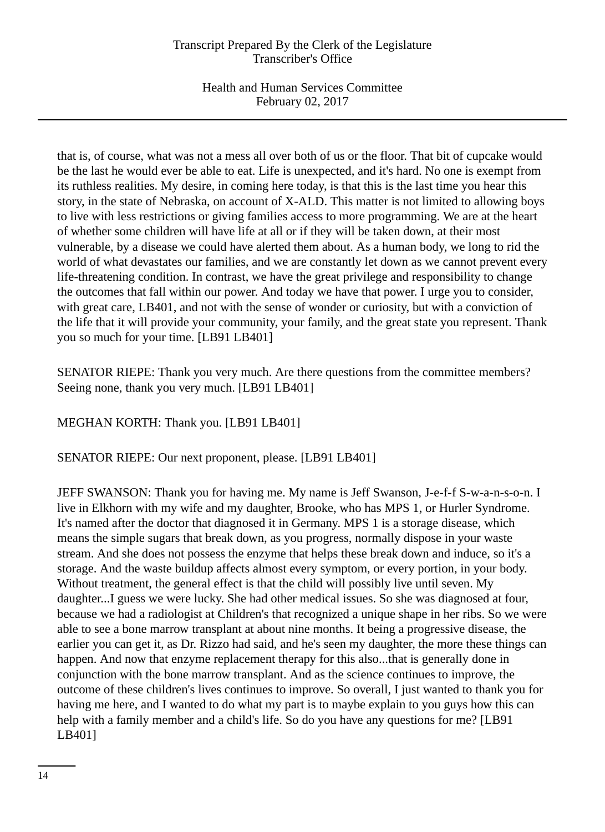Health and Human Services Committee February 02, 2017

that is, of course, what was not a mess all over both of us or the floor. That bit of cupcake would be the last he would ever be able to eat. Life is unexpected, and it's hard. No one is exempt from its ruthless realities. My desire, in coming here today, is that this is the last time you hear this story, in the state of Nebraska, on account of X-ALD. This matter is not limited to allowing boys to live with less restrictions or giving families access to more programming. We are at the heart of whether some children will have life at all or if they will be taken down, at their most vulnerable, by a disease we could have alerted them about. As a human body, we long to rid the world of what devastates our families, and we are constantly let down as we cannot prevent every life-threatening condition. In contrast, we have the great privilege and responsibility to change the outcomes that fall within our power. And today we have that power. I urge you to consider, with great care, LB401, and not with the sense of wonder or curiosity, but with a conviction of the life that it will provide your community, your family, and the great state you represent. Thank you so much for your time. [LB91 LB401]

SENATOR RIEPE: Thank you very much. Are there questions from the committee members? Seeing none, thank you very much. [LB91 LB401]

MEGHAN KORTH: Thank you. [LB91 LB401]

SENATOR RIEPE: Our next proponent, please. [LB91 LB401]

JEFF SWANSON: Thank you for having me. My name is Jeff Swanson, J-e-f-f S-w-a-n-s-o-n. I live in Elkhorn with my wife and my daughter, Brooke, who has MPS 1, or Hurler Syndrome. It's named after the doctor that diagnosed it in Germany. MPS 1 is a storage disease, which means the simple sugars that break down, as you progress, normally dispose in your waste stream. And she does not possess the enzyme that helps these break down and induce, so it's a storage. And the waste buildup affects almost every symptom, or every portion, in your body. Without treatment, the general effect is that the child will possibly live until seven. My daughter...I guess we were lucky. She had other medical issues. So she was diagnosed at four, because we had a radiologist at Children's that recognized a unique shape in her ribs. So we were able to see a bone marrow transplant at about nine months. It being a progressive disease, the earlier you can get it, as Dr. Rizzo had said, and he's seen my daughter, the more these things can happen. And now that enzyme replacement therapy for this also...that is generally done in conjunction with the bone marrow transplant. And as the science continues to improve, the outcome of these children's lives continues to improve. So overall, I just wanted to thank you for having me here, and I wanted to do what my part is to maybe explain to you guys how this can help with a family member and a child's life. So do you have any questions for me? [LB91] LB401]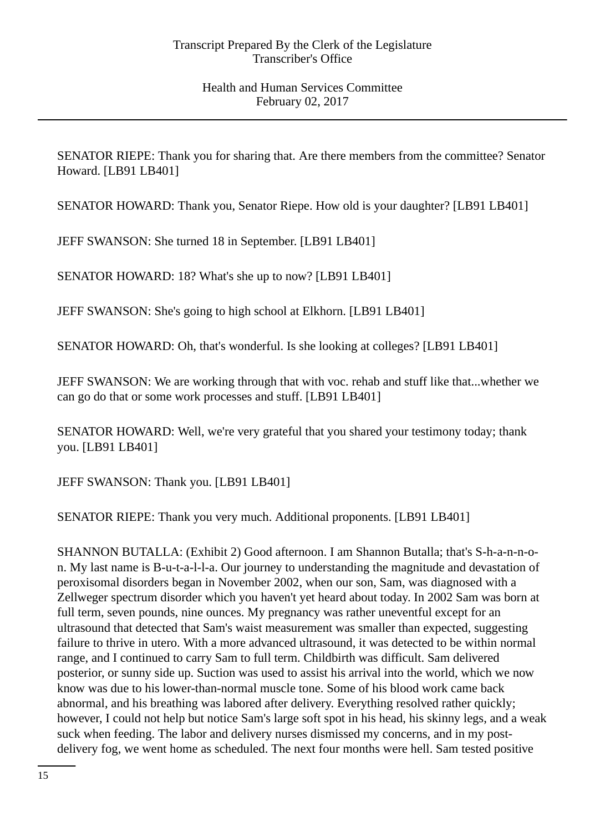SENATOR RIEPE: Thank you for sharing that. Are there members from the committee? Senator Howard. [LB91 LB401]

SENATOR HOWARD: Thank you, Senator Riepe. How old is your daughter? [LB91 LB401]

JEFF SWANSON: She turned 18 in September. [LB91 LB401]

SENATOR HOWARD: 18? What's she up to now? [LB91 LB401]

JEFF SWANSON: She's going to high school at Elkhorn. [LB91 LB401]

SENATOR HOWARD: Oh, that's wonderful. Is she looking at colleges? [LB91 LB401]

JEFF SWANSON: We are working through that with voc. rehab and stuff like that...whether we can go do that or some work processes and stuff. [LB91 LB401]

SENATOR HOWARD: Well, we're very grateful that you shared your testimony today; thank you. [LB91 LB401]

JEFF SWANSON: Thank you. [LB91 LB401]

SENATOR RIEPE: Thank you very much. Additional proponents. [LB91 LB401]

SHANNON BUTALLA: (Exhibit 2) Good afternoon. I am Shannon Butalla; that's S-h-a-n-n-on. My last name is B-u-t-a-l-l-a. Our journey to understanding the magnitude and devastation of peroxisomal disorders began in November 2002, when our son, Sam, was diagnosed with a Zellweger spectrum disorder which you haven't yet heard about today. In 2002 Sam was born at full term, seven pounds, nine ounces. My pregnancy was rather uneventful except for an ultrasound that detected that Sam's waist measurement was smaller than expected, suggesting failure to thrive in utero. With a more advanced ultrasound, it was detected to be within normal range, and I continued to carry Sam to full term. Childbirth was difficult. Sam delivered posterior, or sunny side up. Suction was used to assist his arrival into the world, which we now know was due to his lower-than-normal muscle tone. Some of his blood work came back abnormal, and his breathing was labored after delivery. Everything resolved rather quickly; however, I could not help but notice Sam's large soft spot in his head, his skinny legs, and a weak suck when feeding. The labor and delivery nurses dismissed my concerns, and in my postdelivery fog, we went home as scheduled. The next four months were hell. Sam tested positive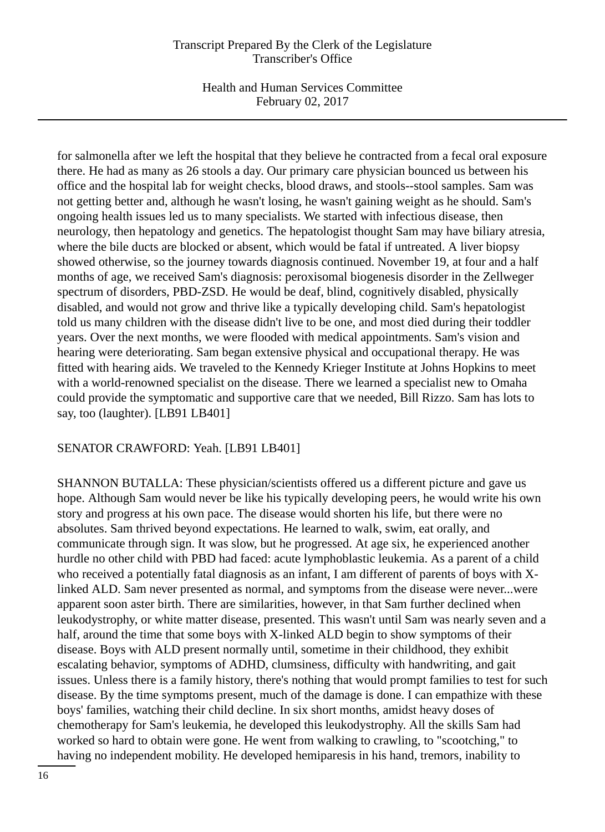Health and Human Services Committee February 02, 2017

for salmonella after we left the hospital that they believe he contracted from a fecal oral exposure there. He had as many as 26 stools a day. Our primary care physician bounced us between his office and the hospital lab for weight checks, blood draws, and stools--stool samples. Sam was not getting better and, although he wasn't losing, he wasn't gaining weight as he should. Sam's ongoing health issues led us to many specialists. We started with infectious disease, then neurology, then hepatology and genetics. The hepatologist thought Sam may have biliary atresia, where the bile ducts are blocked or absent, which would be fatal if untreated. A liver biopsy showed otherwise, so the journey towards diagnosis continued. November 19, at four and a half months of age, we received Sam's diagnosis: peroxisomal biogenesis disorder in the Zellweger spectrum of disorders, PBD-ZSD. He would be deaf, blind, cognitively disabled, physically disabled, and would not grow and thrive like a typically developing child. Sam's hepatologist told us many children with the disease didn't live to be one, and most died during their toddler years. Over the next months, we were flooded with medical appointments. Sam's vision and hearing were deteriorating. Sam began extensive physical and occupational therapy. He was fitted with hearing aids. We traveled to the Kennedy Krieger Institute at Johns Hopkins to meet with a world-renowned specialist on the disease. There we learned a specialist new to Omaha could provide the symptomatic and supportive care that we needed, Bill Rizzo. Sam has lots to say, too (laughter). [LB91 LB401]

SENATOR CRAWFORD: Yeah. [LB91 LB401]

SHANNON BUTALLA: These physician/scientists offered us a different picture and gave us hope. Although Sam would never be like his typically developing peers, he would write his own story and progress at his own pace. The disease would shorten his life, but there were no absolutes. Sam thrived beyond expectations. He learned to walk, swim, eat orally, and communicate through sign. It was slow, but he progressed. At age six, he experienced another hurdle no other child with PBD had faced: acute lymphoblastic leukemia. As a parent of a child who received a potentially fatal diagnosis as an infant, I am different of parents of boys with Xlinked ALD. Sam never presented as normal, and symptoms from the disease were never...were apparent soon aster birth. There are similarities, however, in that Sam further declined when leukodystrophy, or white matter disease, presented. This wasn't until Sam was nearly seven and a half, around the time that some boys with X-linked ALD begin to show symptoms of their disease. Boys with ALD present normally until, sometime in their childhood, they exhibit escalating behavior, symptoms of ADHD, clumsiness, difficulty with handwriting, and gait issues. Unless there is a family history, there's nothing that would prompt families to test for such disease. By the time symptoms present, much of the damage is done. I can empathize with these boys' families, watching their child decline. In six short months, amidst heavy doses of chemotherapy for Sam's leukemia, he developed this leukodystrophy. All the skills Sam had worked so hard to obtain were gone. He went from walking to crawling, to "scootching," to having no independent mobility. He developed hemiparesis in his hand, tremors, inability to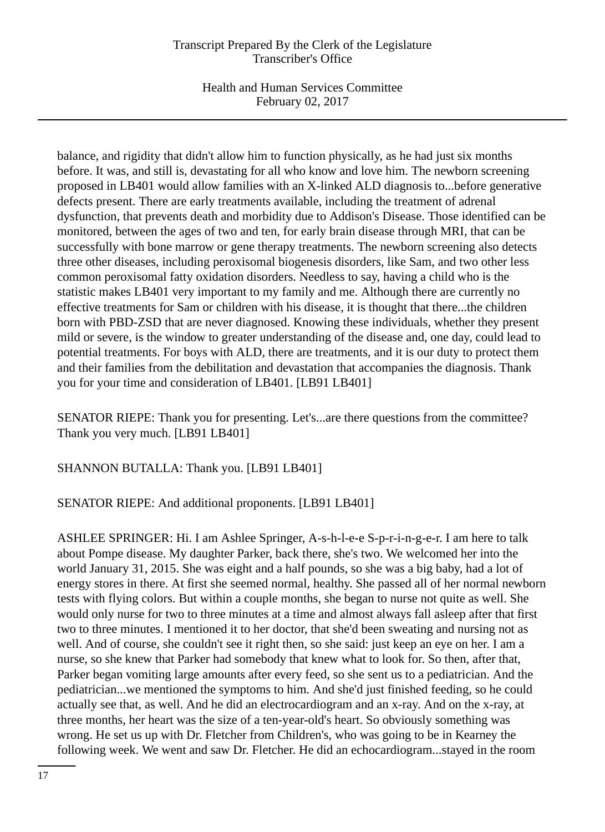Health and Human Services Committee February 02, 2017

balance, and rigidity that didn't allow him to function physically, as he had just six months before. It was, and still is, devastating for all who know and love him. The newborn screening proposed in LB401 would allow families with an X-linked ALD diagnosis to...before generative defects present. There are early treatments available, including the treatment of adrenal dysfunction, that prevents death and morbidity due to Addison's Disease. Those identified can be monitored, between the ages of two and ten, for early brain disease through MRI, that can be successfully with bone marrow or gene therapy treatments. The newborn screening also detects three other diseases, including peroxisomal biogenesis disorders, like Sam, and two other less common peroxisomal fatty oxidation disorders. Needless to say, having a child who is the statistic makes LB401 very important to my family and me. Although there are currently no effective treatments for Sam or children with his disease, it is thought that there...the children born with PBD-ZSD that are never diagnosed. Knowing these individuals, whether they present mild or severe, is the window to greater understanding of the disease and, one day, could lead to potential treatments. For boys with ALD, there are treatments, and it is our duty to protect them and their families from the debilitation and devastation that accompanies the diagnosis. Thank you for your time and consideration of LB401. [LB91 LB401]

SENATOR RIEPE: Thank you for presenting. Let's...are there questions from the committee? Thank you very much. [LB91 LB401]

SHANNON BUTALLA: Thank you. [LB91 LB401]

SENATOR RIEPE: And additional proponents. [LB91 LB401]

ASHLEE SPRINGER: Hi. I am Ashlee Springer, A-s-h-l-e-e S-p-r-i-n-g-e-r. I am here to talk about Pompe disease. My daughter Parker, back there, she's two. We welcomed her into the world January 31, 2015. She was eight and a half pounds, so she was a big baby, had a lot of energy stores in there. At first she seemed normal, healthy. She passed all of her normal newborn tests with flying colors. But within a couple months, she began to nurse not quite as well. She would only nurse for two to three minutes at a time and almost always fall asleep after that first two to three minutes. I mentioned it to her doctor, that she'd been sweating and nursing not as well. And of course, she couldn't see it right then, so she said: just keep an eye on her. I am a nurse, so she knew that Parker had somebody that knew what to look for. So then, after that, Parker began vomiting large amounts after every feed, so she sent us to a pediatrician. And the pediatrician...we mentioned the symptoms to him. And she'd just finished feeding, so he could actually see that, as well. And he did an electrocardiogram and an x-ray. And on the x-ray, at three months, her heart was the size of a ten-year-old's heart. So obviously something was wrong. He set us up with Dr. Fletcher from Children's, who was going to be in Kearney the following week. We went and saw Dr. Fletcher. He did an echocardiogram...stayed in the room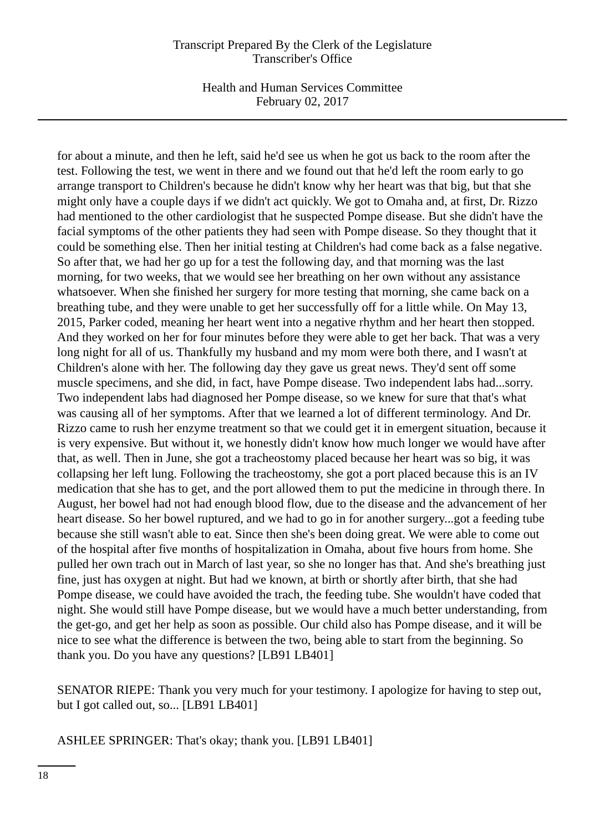Health and Human Services Committee February 02, 2017

for about a minute, and then he left, said he'd see us when he got us back to the room after the test. Following the test, we went in there and we found out that he'd left the room early to go arrange transport to Children's because he didn't know why her heart was that big, but that she might only have a couple days if we didn't act quickly. We got to Omaha and, at first, Dr. Rizzo had mentioned to the other cardiologist that he suspected Pompe disease. But she didn't have the facial symptoms of the other patients they had seen with Pompe disease. So they thought that it could be something else. Then her initial testing at Children's had come back as a false negative. So after that, we had her go up for a test the following day, and that morning was the last morning, for two weeks, that we would see her breathing on her own without any assistance whatsoever. When she finished her surgery for more testing that morning, she came back on a breathing tube, and they were unable to get her successfully off for a little while. On May 13, 2015, Parker coded, meaning her heart went into a negative rhythm and her heart then stopped. And they worked on her for four minutes before they were able to get her back. That was a very long night for all of us. Thankfully my husband and my mom were both there, and I wasn't at Children's alone with her. The following day they gave us great news. They'd sent off some muscle specimens, and she did, in fact, have Pompe disease. Two independent labs had...sorry. Two independent labs had diagnosed her Pompe disease, so we knew for sure that that's what was causing all of her symptoms. After that we learned a lot of different terminology. And Dr. Rizzo came to rush her enzyme treatment so that we could get it in emergent situation, because it is very expensive. But without it, we honestly didn't know how much longer we would have after that, as well. Then in June, she got a tracheostomy placed because her heart was so big, it was collapsing her left lung. Following the tracheostomy, she got a port placed because this is an IV medication that she has to get, and the port allowed them to put the medicine in through there. In August, her bowel had not had enough blood flow, due to the disease and the advancement of her heart disease. So her bowel ruptured, and we had to go in for another surgery...got a feeding tube because she still wasn't able to eat. Since then she's been doing great. We were able to come out of the hospital after five months of hospitalization in Omaha, about five hours from home. She pulled her own trach out in March of last year, so she no longer has that. And she's breathing just fine, just has oxygen at night. But had we known, at birth or shortly after birth, that she had Pompe disease, we could have avoided the trach, the feeding tube. She wouldn't have coded that night. She would still have Pompe disease, but we would have a much better understanding, from the get-go, and get her help as soon as possible. Our child also has Pompe disease, and it will be nice to see what the difference is between the two, being able to start from the beginning. So thank you. Do you have any questions? [LB91 LB401]

SENATOR RIEPE: Thank you very much for your testimony. I apologize for having to step out, but I got called out, so... [LB91 LB401]

ASHLEE SPRINGER: That's okay; thank you. [LB91 LB401]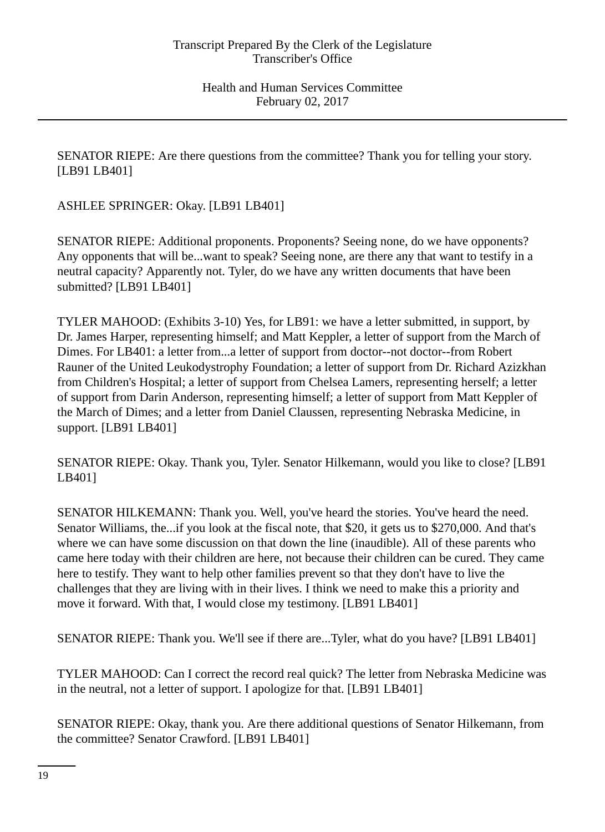SENATOR RIEPE: Are there questions from the committee? Thank you for telling your story. [LB91 LB401]

ASHLEE SPRINGER: Okay. [LB91 LB401]

SENATOR RIEPE: Additional proponents. Proponents? Seeing none, do we have opponents? Any opponents that will be...want to speak? Seeing none, are there any that want to testify in a neutral capacity? Apparently not. Tyler, do we have any written documents that have been submitted? [LB91 LB401]

TYLER MAHOOD: (Exhibits 3-10) Yes, for LB91: we have a letter submitted, in support, by Dr. James Harper, representing himself; and Matt Keppler, a letter of support from the March of Dimes. For LB401: a letter from...a letter of support from doctor--not doctor--from Robert Rauner of the United Leukodystrophy Foundation; a letter of support from Dr. Richard Azizkhan from Children's Hospital; a letter of support from Chelsea Lamers, representing herself; a letter of support from Darin Anderson, representing himself; a letter of support from Matt Keppler of the March of Dimes; and a letter from Daniel Claussen, representing Nebraska Medicine, in support. [LB91 LB401]

SENATOR RIEPE: Okay. Thank you, Tyler. Senator Hilkemann, would you like to close? [LB91 LB401]

SENATOR HILKEMANN: Thank you. Well, you've heard the stories. You've heard the need. Senator Williams, the...if you look at the fiscal note, that \$20, it gets us to \$270,000. And that's where we can have some discussion on that down the line (inaudible). All of these parents who came here today with their children are here, not because their children can be cured. They came here to testify. They want to help other families prevent so that they don't have to live the challenges that they are living with in their lives. I think we need to make this a priority and move it forward. With that, I would close my testimony. [LB91 LB401]

SENATOR RIEPE: Thank you. We'll see if there are...Tyler, what do you have? [LB91 LB401]

TYLER MAHOOD: Can I correct the record real quick? The letter from Nebraska Medicine was in the neutral, not a letter of support. I apologize for that. [LB91 LB401]

SENATOR RIEPE: Okay, thank you. Are there additional questions of Senator Hilkemann, from the committee? Senator Crawford. [LB91 LB401]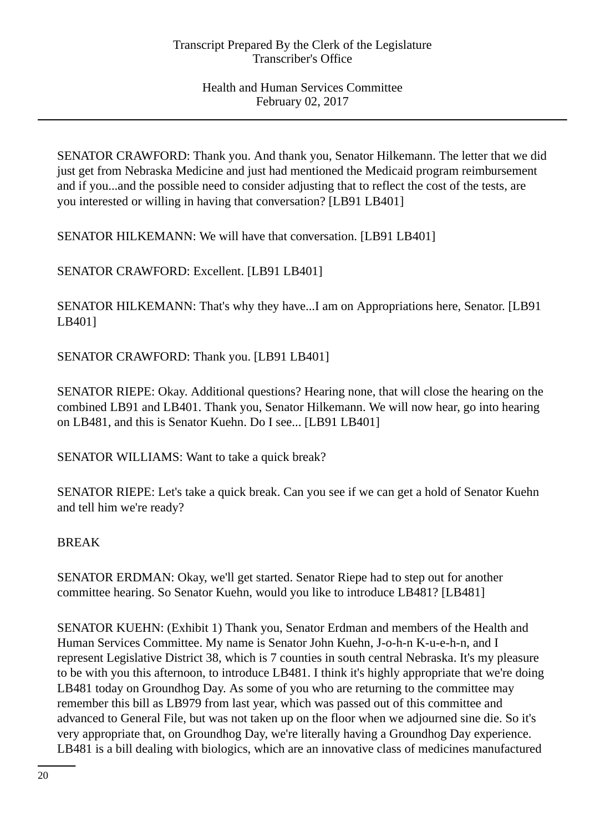SENATOR CRAWFORD: Thank you. And thank you, Senator Hilkemann. The letter that we did just get from Nebraska Medicine and just had mentioned the Medicaid program reimbursement and if you...and the possible need to consider adjusting that to reflect the cost of the tests, are you interested or willing in having that conversation? [LB91 LB401]

SENATOR HILKEMANN: We will have that conversation. [LB91 LB401]

SENATOR CRAWFORD: Excellent. [LB91 LB401]

SENATOR HILKEMANN: That's why they have...I am on Appropriations here, Senator. [LB91 LB401]

SENATOR CRAWFORD: Thank you. [LB91 LB401]

SENATOR RIEPE: Okay. Additional questions? Hearing none, that will close the hearing on the combined LB91 and LB401. Thank you, Senator Hilkemann. We will now hear, go into hearing on LB481, and this is Senator Kuehn. Do I see... [LB91 LB401]

SENATOR WILLIAMS: Want to take a quick break?

SENATOR RIEPE: Let's take a quick break. Can you see if we can get a hold of Senator Kuehn and tell him we're ready?

# BREAK

SENATOR ERDMAN: Okay, we'll get started. Senator Riepe had to step out for another committee hearing. So Senator Kuehn, would you like to introduce LB481? [LB481]

SENATOR KUEHN: (Exhibit 1) Thank you, Senator Erdman and members of the Health and Human Services Committee. My name is Senator John Kuehn, J-o-h-n K-u-e-h-n, and I represent Legislative District 38, which is 7 counties in south central Nebraska. It's my pleasure to be with you this afternoon, to introduce LB481. I think it's highly appropriate that we're doing LB481 today on Groundhog Day. As some of you who are returning to the committee may remember this bill as LB979 from last year, which was passed out of this committee and advanced to General File, but was not taken up on the floor when we adjourned sine die. So it's very appropriate that, on Groundhog Day, we're literally having a Groundhog Day experience. LB481 is a bill dealing with biologics, which are an innovative class of medicines manufactured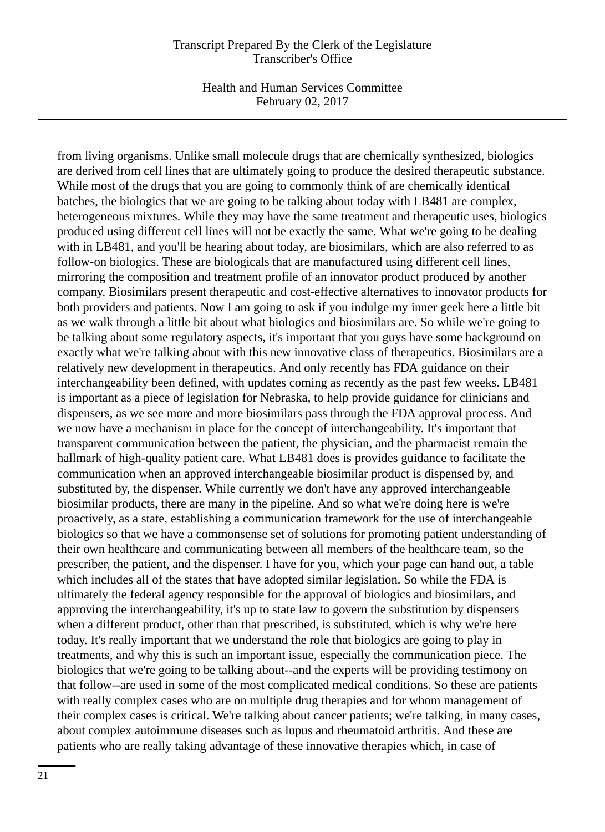Health and Human Services Committee February 02, 2017

from living organisms. Unlike small molecule drugs that are chemically synthesized, biologics are derived from cell lines that are ultimately going to produce the desired therapeutic substance. While most of the drugs that you are going to commonly think of are chemically identical batches, the biologics that we are going to be talking about today with LB481 are complex, heterogeneous mixtures. While they may have the same treatment and therapeutic uses, biologics produced using different cell lines will not be exactly the same. What we're going to be dealing with in LB481, and you'll be hearing about today, are biosimilars, which are also referred to as follow-on biologics. These are biologicals that are manufactured using different cell lines, mirroring the composition and treatment profile of an innovator product produced by another company. Biosimilars present therapeutic and cost-effective alternatives to innovator products for both providers and patients. Now I am going to ask if you indulge my inner geek here a little bit as we walk through a little bit about what biologics and biosimilars are. So while we're going to be talking about some regulatory aspects, it's important that you guys have some background on exactly what we're talking about with this new innovative class of therapeutics. Biosimilars are a relatively new development in therapeutics. And only recently has FDA guidance on their interchangeability been defined, with updates coming as recently as the past few weeks. LB481 is important as a piece of legislation for Nebraska, to help provide guidance for clinicians and dispensers, as we see more and more biosimilars pass through the FDA approval process. And we now have a mechanism in place for the concept of interchangeability. It's important that transparent communication between the patient, the physician, and the pharmacist remain the hallmark of high-quality patient care. What LB481 does is provides guidance to facilitate the communication when an approved interchangeable biosimilar product is dispensed by, and substituted by, the dispenser. While currently we don't have any approved interchangeable biosimilar products, there are many in the pipeline. And so what we're doing here is we're proactively, as a state, establishing a communication framework for the use of interchangeable biologics so that we have a commonsense set of solutions for promoting patient understanding of their own healthcare and communicating between all members of the healthcare team, so the prescriber, the patient, and the dispenser. I have for you, which your page can hand out, a table which includes all of the states that have adopted similar legislation. So while the FDA is ultimately the federal agency responsible for the approval of biologics and biosimilars, and approving the interchangeability, it's up to state law to govern the substitution by dispensers when a different product, other than that prescribed, is substituted, which is why we're here today. It's really important that we understand the role that biologics are going to play in treatments, and why this is such an important issue, especially the communication piece. The biologics that we're going to be talking about--and the experts will be providing testimony on that follow--are used in some of the most complicated medical conditions. So these are patients with really complex cases who are on multiple drug therapies and for whom management of their complex cases is critical. We're talking about cancer patients; we're talking, in many cases, about complex autoimmune diseases such as lupus and rheumatoid arthritis. And these are patients who are really taking advantage of these innovative therapies which, in case of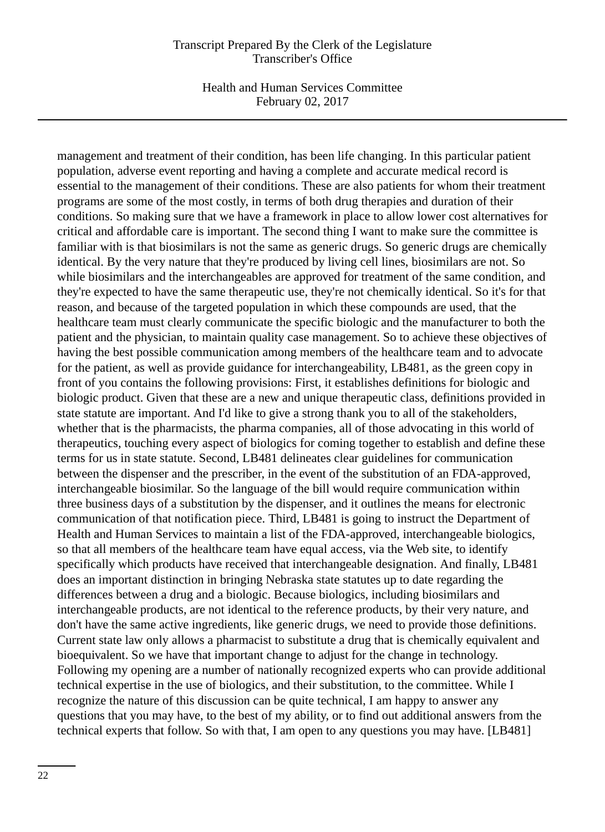Health and Human Services Committee February 02, 2017

management and treatment of their condition, has been life changing. In this particular patient population, adverse event reporting and having a complete and accurate medical record is essential to the management of their conditions. These are also patients for whom their treatment programs are some of the most costly, in terms of both drug therapies and duration of their conditions. So making sure that we have a framework in place to allow lower cost alternatives for critical and affordable care is important. The second thing I want to make sure the committee is familiar with is that biosimilars is not the same as generic drugs. So generic drugs are chemically identical. By the very nature that they're produced by living cell lines, biosimilars are not. So while biosimilars and the interchangeables are approved for treatment of the same condition, and they're expected to have the same therapeutic use, they're not chemically identical. So it's for that reason, and because of the targeted population in which these compounds are used, that the healthcare team must clearly communicate the specific biologic and the manufacturer to both the patient and the physician, to maintain quality case management. So to achieve these objectives of having the best possible communication among members of the healthcare team and to advocate for the patient, as well as provide guidance for interchangeability, LB481, as the green copy in front of you contains the following provisions: First, it establishes definitions for biologic and biologic product. Given that these are a new and unique therapeutic class, definitions provided in state statute are important. And I'd like to give a strong thank you to all of the stakeholders, whether that is the pharmacists, the pharma companies, all of those advocating in this world of therapeutics, touching every aspect of biologics for coming together to establish and define these terms for us in state statute. Second, LB481 delineates clear guidelines for communication between the dispenser and the prescriber, in the event of the substitution of an FDA-approved, interchangeable biosimilar. So the language of the bill would require communication within three business days of a substitution by the dispenser, and it outlines the means for electronic communication of that notification piece. Third, LB481 is going to instruct the Department of Health and Human Services to maintain a list of the FDA-approved, interchangeable biologics, so that all members of the healthcare team have equal access, via the Web site, to identify specifically which products have received that interchangeable designation. And finally, LB481 does an important distinction in bringing Nebraska state statutes up to date regarding the differences between a drug and a biologic. Because biologics, including biosimilars and interchangeable products, are not identical to the reference products, by their very nature, and don't have the same active ingredients, like generic drugs, we need to provide those definitions. Current state law only allows a pharmacist to substitute a drug that is chemically equivalent and bioequivalent. So we have that important change to adjust for the change in technology. Following my opening are a number of nationally recognized experts who can provide additional technical expertise in the use of biologics, and their substitution, to the committee. While I recognize the nature of this discussion can be quite technical, I am happy to answer any questions that you may have, to the best of my ability, or to find out additional answers from the technical experts that follow. So with that, I am open to any questions you may have. [LB481]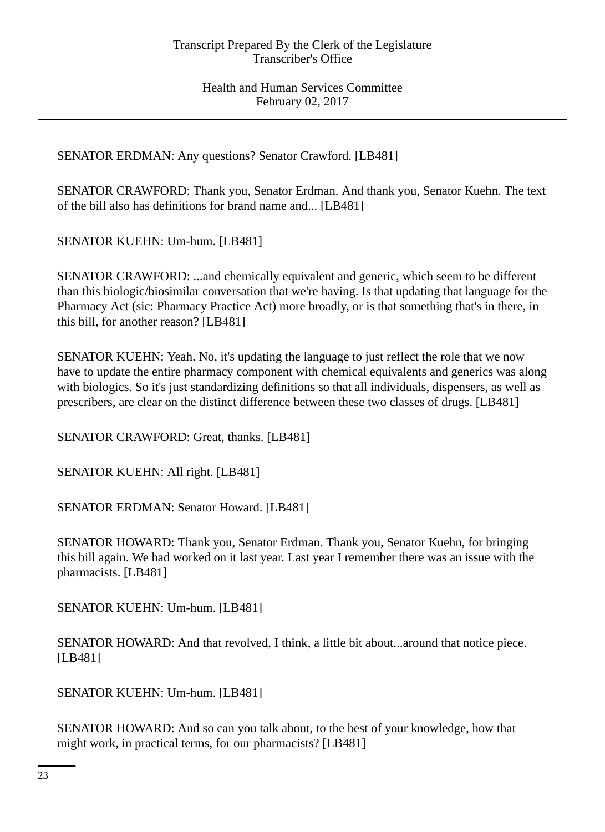SENATOR ERDMAN: Any questions? Senator Crawford. [LB481]

SENATOR CRAWFORD: Thank you, Senator Erdman. And thank you, Senator Kuehn. The text of the bill also has definitions for brand name and... [LB481]

SENATOR KUEHN: Um-hum. [LB481]

SENATOR CRAWFORD: ...and chemically equivalent and generic, which seem to be different than this biologic/biosimilar conversation that we're having. Is that updating that language for the Pharmacy Act (sic: Pharmacy Practice Act) more broadly, or is that something that's in there, in this bill, for another reason? [LB481]

SENATOR KUEHN: Yeah. No, it's updating the language to just reflect the role that we now have to update the entire pharmacy component with chemical equivalents and generics was along with biologics. So it's just standardizing definitions so that all individuals, dispensers, as well as prescribers, are clear on the distinct difference between these two classes of drugs. [LB481]

SENATOR CRAWFORD: Great, thanks. [LB481]

SENATOR KUEHN: All right. [LB481]

SENATOR ERDMAN: Senator Howard. [LB481]

SENATOR HOWARD: Thank you, Senator Erdman. Thank you, Senator Kuehn, for bringing this bill again. We had worked on it last year. Last year I remember there was an issue with the pharmacists. [LB481]

SENATOR KUEHN: Um-hum. [LB481]

SENATOR HOWARD: And that revolved, I think, a little bit about...around that notice piece. [LB481]

SENATOR KUEHN: Um-hum. [LB481]

SENATOR HOWARD: And so can you talk about, to the best of your knowledge, how that might work, in practical terms, for our pharmacists? [LB481]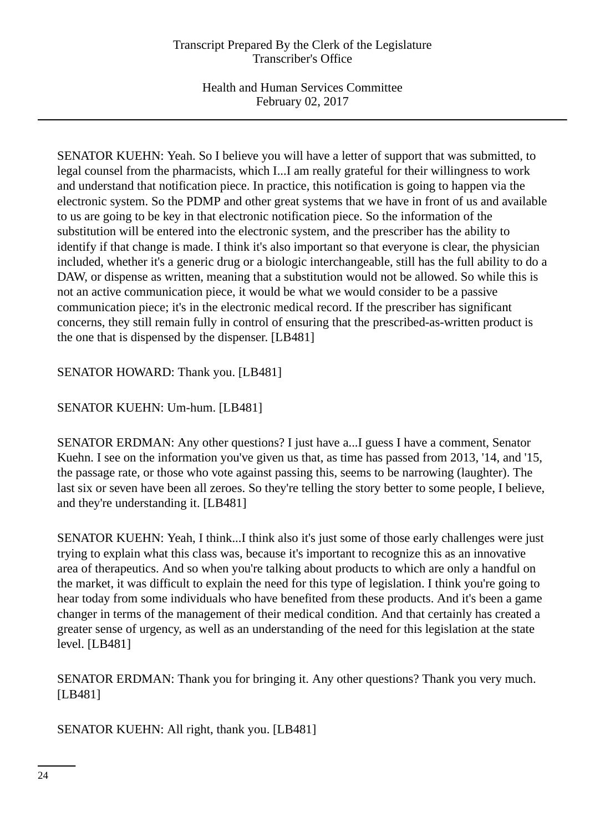SENATOR KUEHN: Yeah. So I believe you will have a letter of support that was submitted, to legal counsel from the pharmacists, which I...I am really grateful for their willingness to work and understand that notification piece. In practice, this notification is going to happen via the electronic system. So the PDMP and other great systems that we have in front of us and available to us are going to be key in that electronic notification piece. So the information of the substitution will be entered into the electronic system, and the prescriber has the ability to identify if that change is made. I think it's also important so that everyone is clear, the physician included, whether it's a generic drug or a biologic interchangeable, still has the full ability to do a DAW, or dispense as written, meaning that a substitution would not be allowed. So while this is not an active communication piece, it would be what we would consider to be a passive communication piece; it's in the electronic medical record. If the prescriber has significant concerns, they still remain fully in control of ensuring that the prescribed-as-written product is the one that is dispensed by the dispenser. [LB481]

SENATOR HOWARD: Thank you. [LB481]

SENATOR KUEHN: Um-hum. [LB481]

SENATOR ERDMAN: Any other questions? I just have a...I guess I have a comment, Senator Kuehn. I see on the information you've given us that, as time has passed from 2013, '14, and '15, the passage rate, or those who vote against passing this, seems to be narrowing (laughter). The last six or seven have been all zeroes. So they're telling the story better to some people, I believe, and they're understanding it. [LB481]

SENATOR KUEHN: Yeah, I think...I think also it's just some of those early challenges were just trying to explain what this class was, because it's important to recognize this as an innovative area of therapeutics. And so when you're talking about products to which are only a handful on the market, it was difficult to explain the need for this type of legislation. I think you're going to hear today from some individuals who have benefited from these products. And it's been a game changer in terms of the management of their medical condition. And that certainly has created a greater sense of urgency, as well as an understanding of the need for this legislation at the state level. [LB481]

SENATOR ERDMAN: Thank you for bringing it. Any other questions? Thank you very much. [LB481]

SENATOR KUEHN: All right, thank you. [LB481]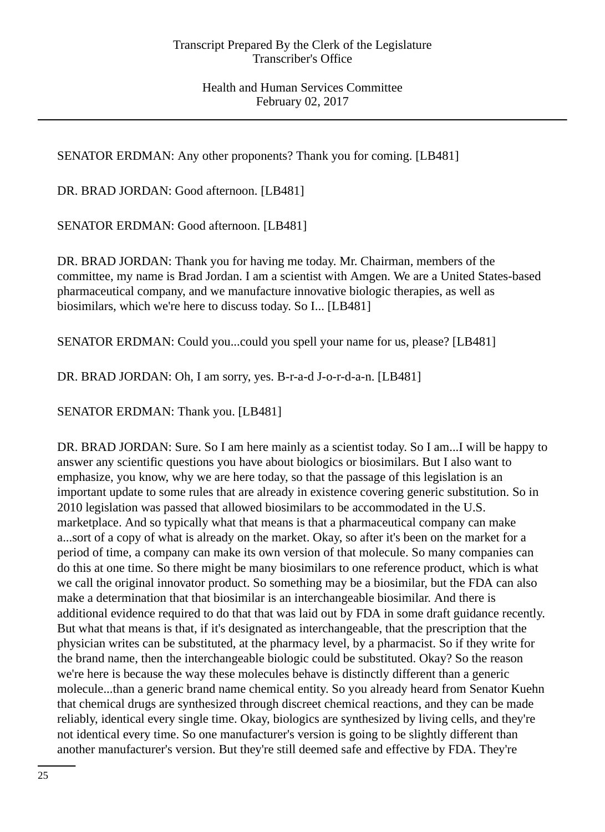SENATOR ERDMAN: Any other proponents? Thank you for coming. [LB481]

DR. BRAD JORDAN: Good afternoon. [LB481]

SENATOR ERDMAN: Good afternoon. [LB481]

DR. BRAD JORDAN: Thank you for having me today. Mr. Chairman, members of the committee, my name is Brad Jordan. I am a scientist with Amgen. We are a United States-based pharmaceutical company, and we manufacture innovative biologic therapies, as well as biosimilars, which we're here to discuss today. So I... [LB481]

SENATOR ERDMAN: Could you...could you spell your name for us, please? [LB481]

DR. BRAD JORDAN: Oh, I am sorry, yes. B-r-a-d J-o-r-d-a-n. [LB481]

SENATOR ERDMAN: Thank you. [LB481]

DR. BRAD JORDAN: Sure. So I am here mainly as a scientist today. So I am...I will be happy to answer any scientific questions you have about biologics or biosimilars. But I also want to emphasize, you know, why we are here today, so that the passage of this legislation is an important update to some rules that are already in existence covering generic substitution. So in 2010 legislation was passed that allowed biosimilars to be accommodated in the U.S. marketplace. And so typically what that means is that a pharmaceutical company can make a...sort of a copy of what is already on the market. Okay, so after it's been on the market for a period of time, a company can make its own version of that molecule. So many companies can do this at one time. So there might be many biosimilars to one reference product, which is what we call the original innovator product. So something may be a biosimilar, but the FDA can also make a determination that that biosimilar is an interchangeable biosimilar. And there is additional evidence required to do that that was laid out by FDA in some draft guidance recently. But what that means is that, if it's designated as interchangeable, that the prescription that the physician writes can be substituted, at the pharmacy level, by a pharmacist. So if they write for the brand name, then the interchangeable biologic could be substituted. Okay? So the reason we're here is because the way these molecules behave is distinctly different than a generic molecule...than a generic brand name chemical entity. So you already heard from Senator Kuehn that chemical drugs are synthesized through discreet chemical reactions, and they can be made reliably, identical every single time. Okay, biologics are synthesized by living cells, and they're not identical every time. So one manufacturer's version is going to be slightly different than another manufacturer's version. But they're still deemed safe and effective by FDA. They're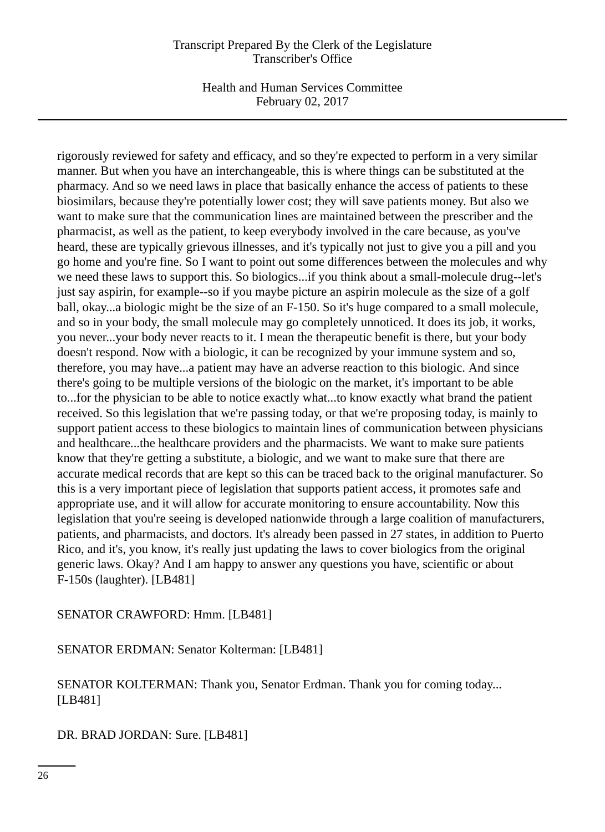Health and Human Services Committee February 02, 2017

rigorously reviewed for safety and efficacy, and so they're expected to perform in a very similar manner. But when you have an interchangeable, this is where things can be substituted at the pharmacy. And so we need laws in place that basically enhance the access of patients to these biosimilars, because they're potentially lower cost; they will save patients money. But also we want to make sure that the communication lines are maintained between the prescriber and the pharmacist, as well as the patient, to keep everybody involved in the care because, as you've heard, these are typically grievous illnesses, and it's typically not just to give you a pill and you go home and you're fine. So I want to point out some differences between the molecules and why we need these laws to support this. So biologics...if you think about a small-molecule drug--let's just say aspirin, for example--so if you maybe picture an aspirin molecule as the size of a golf ball, okay...a biologic might be the size of an F-150. So it's huge compared to a small molecule, and so in your body, the small molecule may go completely unnoticed. It does its job, it works, you never...your body never reacts to it. I mean the therapeutic benefit is there, but your body doesn't respond. Now with a biologic, it can be recognized by your immune system and so, therefore, you may have...a patient may have an adverse reaction to this biologic. And since there's going to be multiple versions of the biologic on the market, it's important to be able to...for the physician to be able to notice exactly what...to know exactly what brand the patient received. So this legislation that we're passing today, or that we're proposing today, is mainly to support patient access to these biologics to maintain lines of communication between physicians and healthcare...the healthcare providers and the pharmacists. We want to make sure patients know that they're getting a substitute, a biologic, and we want to make sure that there are accurate medical records that are kept so this can be traced back to the original manufacturer. So this is a very important piece of legislation that supports patient access, it promotes safe and appropriate use, and it will allow for accurate monitoring to ensure accountability. Now this legislation that you're seeing is developed nationwide through a large coalition of manufacturers, patients, and pharmacists, and doctors. It's already been passed in 27 states, in addition to Puerto Rico, and it's, you know, it's really just updating the laws to cover biologics from the original generic laws. Okay? And I am happy to answer any questions you have, scientific or about F-150s (laughter). [LB481]

SENATOR CRAWFORD: Hmm. [LB481]

SENATOR ERDMAN: Senator Kolterman: [LB481]

SENATOR KOLTERMAN: Thank you, Senator Erdman. Thank you for coming today... [LB481]

DR. BRAD JORDAN: Sure. [LB481]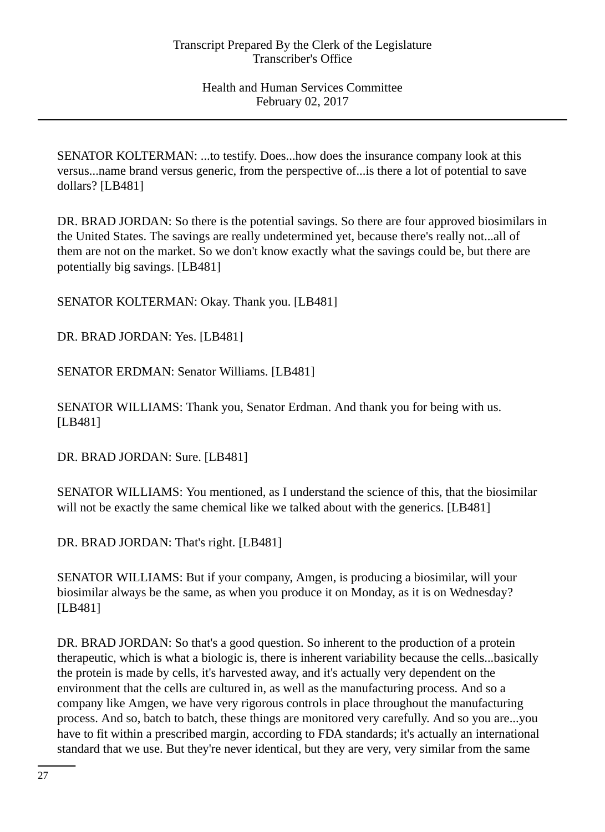SENATOR KOLTERMAN: ...to testify. Does...how does the insurance company look at this versus...name brand versus generic, from the perspective of...is there a lot of potential to save dollars? [LB481]

DR. BRAD JORDAN: So there is the potential savings. So there are four approved biosimilars in the United States. The savings are really undetermined yet, because there's really not...all of them are not on the market. So we don't know exactly what the savings could be, but there are potentially big savings. [LB481]

SENATOR KOLTERMAN: Okay. Thank you. [LB481]

DR. BRAD JORDAN: Yes. [LB481]

SENATOR ERDMAN: Senator Williams. [LB481]

SENATOR WILLIAMS: Thank you, Senator Erdman. And thank you for being with us. [LB481]

DR. BRAD JORDAN: Sure. [LB481]

SENATOR WILLIAMS: You mentioned, as I understand the science of this, that the biosimilar will not be exactly the same chemical like we talked about with the generics. [LB481]

DR. BRAD JORDAN: That's right. [LB481]

SENATOR WILLIAMS: But if your company, Amgen, is producing a biosimilar, will your biosimilar always be the same, as when you produce it on Monday, as it is on Wednesday? [LB481]

DR. BRAD JORDAN: So that's a good question. So inherent to the production of a protein therapeutic, which is what a biologic is, there is inherent variability because the cells...basically the protein is made by cells, it's harvested away, and it's actually very dependent on the environment that the cells are cultured in, as well as the manufacturing process. And so a company like Amgen, we have very rigorous controls in place throughout the manufacturing process. And so, batch to batch, these things are monitored very carefully. And so you are...you have to fit within a prescribed margin, according to FDA standards; it's actually an international standard that we use. But they're never identical, but they are very, very similar from the same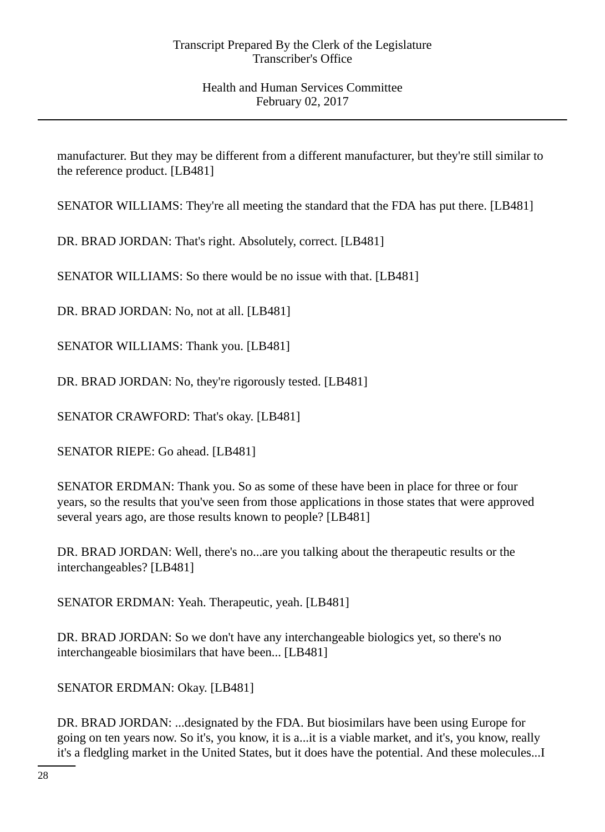manufacturer. But they may be different from a different manufacturer, but they're still similar to the reference product. [LB481]

SENATOR WILLIAMS: They're all meeting the standard that the FDA has put there. [LB481]

DR. BRAD JORDAN: That's right. Absolutely, correct. [LB481]

SENATOR WILLIAMS: So there would be no issue with that. [LB481]

DR. BRAD JORDAN: No, not at all. [LB481]

SENATOR WILLIAMS: Thank you. [LB481]

DR. BRAD JORDAN: No, they're rigorously tested. [LB481]

SENATOR CRAWFORD: That's okay. [LB481]

SENATOR RIEPE: Go ahead. [LB481]

SENATOR ERDMAN: Thank you. So as some of these have been in place for three or four years, so the results that you've seen from those applications in those states that were approved several years ago, are those results known to people? [LB481]

DR. BRAD JORDAN: Well, there's no...are you talking about the therapeutic results or the interchangeables? [LB481]

SENATOR ERDMAN: Yeah. Therapeutic, yeah. [LB481]

DR. BRAD JORDAN: So we don't have any interchangeable biologics yet, so there's no interchangeable biosimilars that have been... [LB481]

SENATOR ERDMAN: Okay. [LB481]

DR. BRAD JORDAN: ...designated by the FDA. But biosimilars have been using Europe for going on ten years now. So it's, you know, it is a...it is a viable market, and it's, you know, really it's a fledgling market in the United States, but it does have the potential. And these molecules...I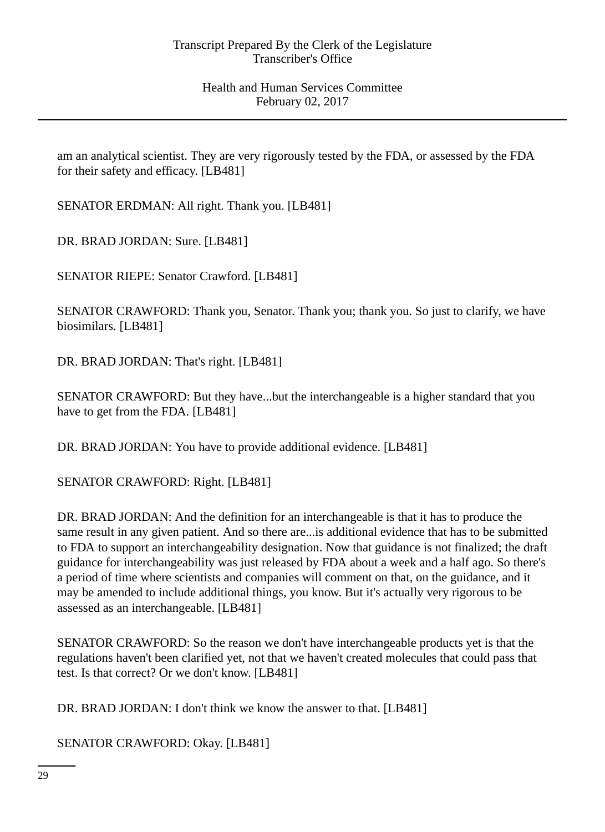am an analytical scientist. They are very rigorously tested by the FDA, or assessed by the FDA for their safety and efficacy. [LB481]

SENATOR ERDMAN: All right. Thank you. [LB481]

DR. BRAD JORDAN: Sure. [LB481]

SENATOR RIEPE: Senator Crawford. [LB481]

SENATOR CRAWFORD: Thank you, Senator. Thank you; thank you. So just to clarify, we have biosimilars. [LB481]

DR. BRAD JORDAN: That's right. [LB481]

SENATOR CRAWFORD: But they have...but the interchangeable is a higher standard that you have to get from the FDA. [LB481]

DR. BRAD JORDAN: You have to provide additional evidence. [LB481]

SENATOR CRAWFORD: Right. [LB481]

DR. BRAD JORDAN: And the definition for an interchangeable is that it has to produce the same result in any given patient. And so there are...is additional evidence that has to be submitted to FDA to support an interchangeability designation. Now that guidance is not finalized; the draft guidance for interchangeability was just released by FDA about a week and a half ago. So there's a period of time where scientists and companies will comment on that, on the guidance, and it may be amended to include additional things, you know. But it's actually very rigorous to be assessed as an interchangeable. [LB481]

SENATOR CRAWFORD: So the reason we don't have interchangeable products yet is that the regulations haven't been clarified yet, not that we haven't created molecules that could pass that test. Is that correct? Or we don't know. [LB481]

DR. BRAD JORDAN: I don't think we know the answer to that. [LB481]

SENATOR CRAWFORD: Okay. [LB481]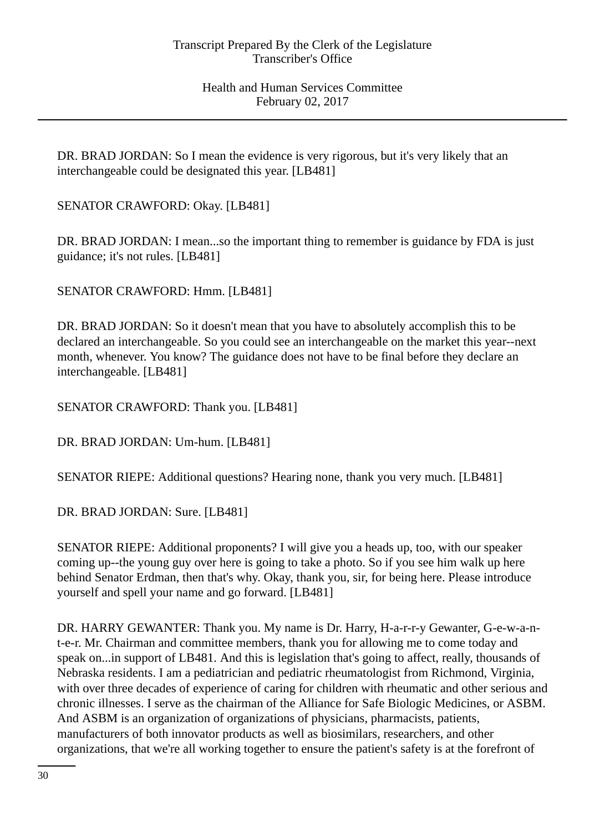DR. BRAD JORDAN: So I mean the evidence is very rigorous, but it's very likely that an interchangeable could be designated this year. [LB481]

SENATOR CRAWFORD: Okay. [LB481]

DR. BRAD JORDAN: I mean...so the important thing to remember is guidance by FDA is just guidance; it's not rules. [LB481]

SENATOR CRAWFORD: Hmm. [LB481]

DR. BRAD JORDAN: So it doesn't mean that you have to absolutely accomplish this to be declared an interchangeable. So you could see an interchangeable on the market this year--next month, whenever. You know? The guidance does not have to be final before they declare an interchangeable. [LB481]

SENATOR CRAWFORD: Thank you. [LB481]

DR. BRAD JORDAN: Um-hum. [LB481]

SENATOR RIEPE: Additional questions? Hearing none, thank you very much. [LB481]

DR. BRAD JORDAN: Sure. [LB481]

SENATOR RIEPE: Additional proponents? I will give you a heads up, too, with our speaker coming up--the young guy over here is going to take a photo. So if you see him walk up here behind Senator Erdman, then that's why. Okay, thank you, sir, for being here. Please introduce yourself and spell your name and go forward. [LB481]

DR. HARRY GEWANTER: Thank you. My name is Dr. Harry, H-a-r-r-y Gewanter, G-e-w-a-nt-e-r. Mr. Chairman and committee members, thank you for allowing me to come today and speak on...in support of LB481. And this is legislation that's going to affect, really, thousands of Nebraska residents. I am a pediatrician and pediatric rheumatologist from Richmond, Virginia, with over three decades of experience of caring for children with rheumatic and other serious and chronic illnesses. I serve as the chairman of the Alliance for Safe Biologic Medicines, or ASBM. And ASBM is an organization of organizations of physicians, pharmacists, patients, manufacturers of both innovator products as well as biosimilars, researchers, and other organizations, that we're all working together to ensure the patient's safety is at the forefront of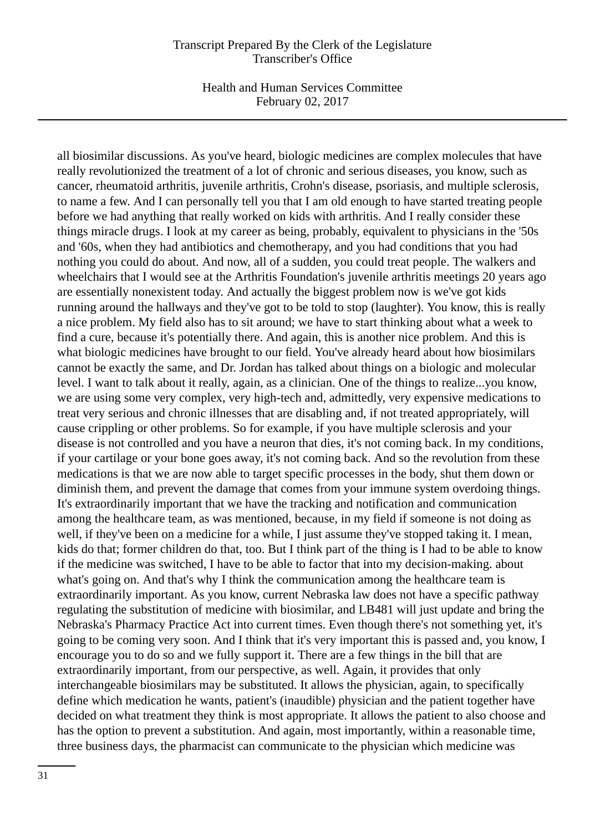Health and Human Services Committee February 02, 2017

all biosimilar discussions. As you've heard, biologic medicines are complex molecules that have really revolutionized the treatment of a lot of chronic and serious diseases, you know, such as cancer, rheumatoid arthritis, juvenile arthritis, Crohn's disease, psoriasis, and multiple sclerosis, to name a few. And I can personally tell you that I am old enough to have started treating people before we had anything that really worked on kids with arthritis. And I really consider these things miracle drugs. I look at my career as being, probably, equivalent to physicians in the '50s and '60s, when they had antibiotics and chemotherapy, and you had conditions that you had nothing you could do about. And now, all of a sudden, you could treat people. The walkers and wheelchairs that I would see at the Arthritis Foundation's juvenile arthritis meetings 20 years ago are essentially nonexistent today. And actually the biggest problem now is we've got kids running around the hallways and they've got to be told to stop (laughter). You know, this is really a nice problem. My field also has to sit around; we have to start thinking about what a week to find a cure, because it's potentially there. And again, this is another nice problem. And this is what biologic medicines have brought to our field. You've already heard about how biosimilars cannot be exactly the same, and Dr. Jordan has talked about things on a biologic and molecular level. I want to talk about it really, again, as a clinician. One of the things to realize...you know, we are using some very complex, very high-tech and, admittedly, very expensive medications to treat very serious and chronic illnesses that are disabling and, if not treated appropriately, will cause crippling or other problems. So for example, if you have multiple sclerosis and your disease is not controlled and you have a neuron that dies, it's not coming back. In my conditions, if your cartilage or your bone goes away, it's not coming back. And so the revolution from these medications is that we are now able to target specific processes in the body, shut them down or diminish them, and prevent the damage that comes from your immune system overdoing things. It's extraordinarily important that we have the tracking and notification and communication among the healthcare team, as was mentioned, because, in my field if someone is not doing as well, if they've been on a medicine for a while, I just assume they've stopped taking it. I mean, kids do that; former children do that, too. But I think part of the thing is I had to be able to know if the medicine was switched, I have to be able to factor that into my decision-making. about what's going on. And that's why I think the communication among the healthcare team is extraordinarily important. As you know, current Nebraska law does not have a specific pathway regulating the substitution of medicine with biosimilar, and LB481 will just update and bring the Nebraska's Pharmacy Practice Act into current times. Even though there's not something yet, it's going to be coming very soon. And I think that it's very important this is passed and, you know, I encourage you to do so and we fully support it. There are a few things in the bill that are extraordinarily important, from our perspective, as well. Again, it provides that only interchangeable biosimilars may be substituted. It allows the physician, again, to specifically define which medication he wants, patient's (inaudible) physician and the patient together have decided on what treatment they think is most appropriate. It allows the patient to also choose and has the option to prevent a substitution. And again, most importantly, within a reasonable time, three business days, the pharmacist can communicate to the physician which medicine was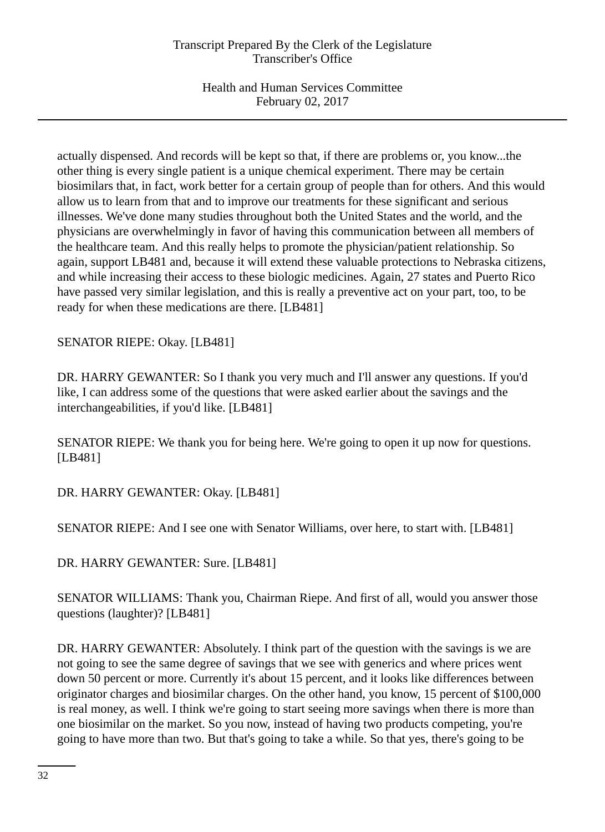actually dispensed. And records will be kept so that, if there are problems or, you know...the other thing is every single patient is a unique chemical experiment. There may be certain biosimilars that, in fact, work better for a certain group of people than for others. And this would allow us to learn from that and to improve our treatments for these significant and serious illnesses. We've done many studies throughout both the United States and the world, and the physicians are overwhelmingly in favor of having this communication between all members of the healthcare team. And this really helps to promote the physician/patient relationship. So again, support LB481 and, because it will extend these valuable protections to Nebraska citizens, and while increasing their access to these biologic medicines. Again, 27 states and Puerto Rico have passed very similar legislation, and this is really a preventive act on your part, too, to be ready for when these medications are there. [LB481]

SENATOR RIEPE: Okay. [LB481]

DR. HARRY GEWANTER: So I thank you very much and I'll answer any questions. If you'd like, I can address some of the questions that were asked earlier about the savings and the interchangeabilities, if you'd like. [LB481]

SENATOR RIEPE: We thank you for being here. We're going to open it up now for questions. [LB481]

DR. HARRY GEWANTER: Okay. [LB481]

SENATOR RIEPE: And I see one with Senator Williams, over here, to start with. [LB481]

DR. HARRY GEWANTER: Sure. [LB481]

SENATOR WILLIAMS: Thank you, Chairman Riepe. And first of all, would you answer those questions (laughter)? [LB481]

DR. HARRY GEWANTER: Absolutely. I think part of the question with the savings is we are not going to see the same degree of savings that we see with generics and where prices went down 50 percent or more. Currently it's about 15 percent, and it looks like differences between originator charges and biosimilar charges. On the other hand, you know, 15 percent of \$100,000 is real money, as well. I think we're going to start seeing more savings when there is more than one biosimilar on the market. So you now, instead of having two products competing, you're going to have more than two. But that's going to take a while. So that yes, there's going to be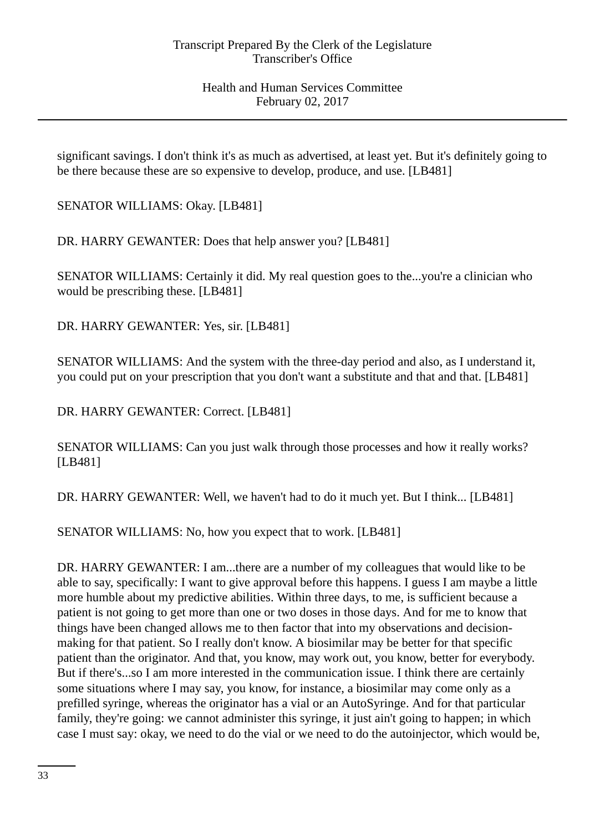significant savings. I don't think it's as much as advertised, at least yet. But it's definitely going to be there because these are so expensive to develop, produce, and use. [LB481]

SENATOR WILLIAMS: Okay. [LB481]

DR. HARRY GEWANTER: Does that help answer you? [LB481]

SENATOR WILLIAMS: Certainly it did. My real question goes to the...you're a clinician who would be prescribing these. [LB481]

DR. HARRY GEWANTER: Yes, sir. [LB481]

SENATOR WILLIAMS: And the system with the three-day period and also, as I understand it, you could put on your prescription that you don't want a substitute and that and that. [LB481]

DR. HARRY GEWANTER: Correct. [LB481]

SENATOR WILLIAMS: Can you just walk through those processes and how it really works? [LB481]

DR. HARRY GEWANTER: Well, we haven't had to do it much yet. But I think... [LB481]

SENATOR WILLIAMS: No, how you expect that to work. [LB481]

DR. HARRY GEWANTER: I am...there are a number of my colleagues that would like to be able to say, specifically: I want to give approval before this happens. I guess I am maybe a little more humble about my predictive abilities. Within three days, to me, is sufficient because a patient is not going to get more than one or two doses in those days. And for me to know that things have been changed allows me to then factor that into my observations and decisionmaking for that patient. So I really don't know. A biosimilar may be better for that specific patient than the originator. And that, you know, may work out, you know, better for everybody. But if there's...so I am more interested in the communication issue. I think there are certainly some situations where I may say, you know, for instance, a biosimilar may come only as a prefilled syringe, whereas the originator has a vial or an AutoSyringe. And for that particular family, they're going: we cannot administer this syringe, it just ain't going to happen; in which case I must say: okay, we need to do the vial or we need to do the autoinjector, which would be,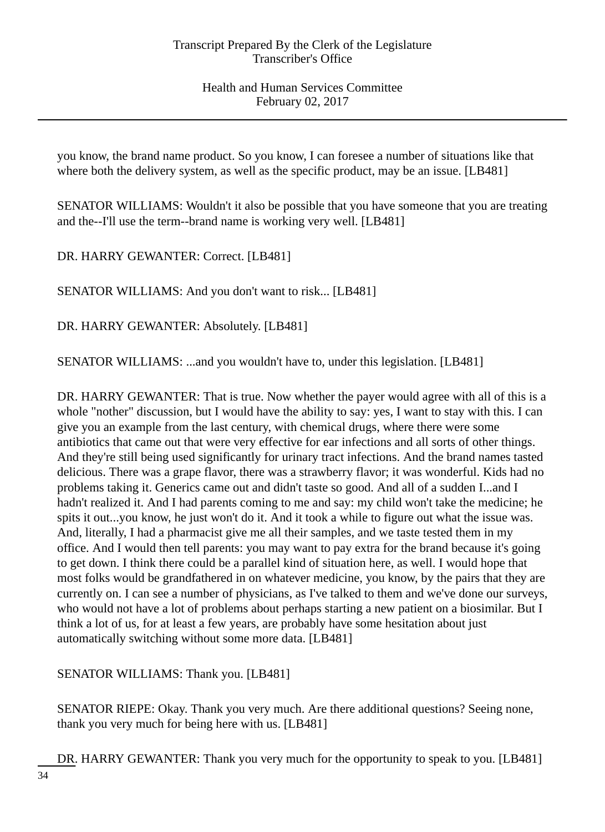you know, the brand name product. So you know, I can foresee a number of situations like that where both the delivery system, as well as the specific product, may be an issue. [LB481]

SENATOR WILLIAMS: Wouldn't it also be possible that you have someone that you are treating and the--I'll use the term--brand name is working very well. [LB481]

DR. HARRY GEWANTER: Correct. [LB481]

SENATOR WILLIAMS: And you don't want to risk... [LB481]

DR. HARRY GEWANTER: Absolutely. [LB481]

SENATOR WILLIAMS: ...and you wouldn't have to, under this legislation. [LB481]

DR. HARRY GEWANTER: That is true. Now whether the payer would agree with all of this is a whole "nother" discussion, but I would have the ability to say: yes, I want to stay with this. I can give you an example from the last century, with chemical drugs, where there were some antibiotics that came out that were very effective for ear infections and all sorts of other things. And they're still being used significantly for urinary tract infections. And the brand names tasted delicious. There was a grape flavor, there was a strawberry flavor; it was wonderful. Kids had no problems taking it. Generics came out and didn't taste so good. And all of a sudden I...and I hadn't realized it. And I had parents coming to me and say: my child won't take the medicine; he spits it out...you know, he just won't do it. And it took a while to figure out what the issue was. And, literally, I had a pharmacist give me all their samples, and we taste tested them in my office. And I would then tell parents: you may want to pay extra for the brand because it's going to get down. I think there could be a parallel kind of situation here, as well. I would hope that most folks would be grandfathered in on whatever medicine, you know, by the pairs that they are currently on. I can see a number of physicians, as I've talked to them and we've done our surveys, who would not have a lot of problems about perhaps starting a new patient on a biosimilar. But I think a lot of us, for at least a few years, are probably have some hesitation about just automatically switching without some more data. [LB481]

SENATOR WILLIAMS: Thank you. [LB481]

SENATOR RIEPE: Okay. Thank you very much. Are there additional questions? Seeing none, thank you very much for being here with us. [LB481]

DR. HARRY GEWANTER: Thank you very much for the opportunity to speak to you. [LB481]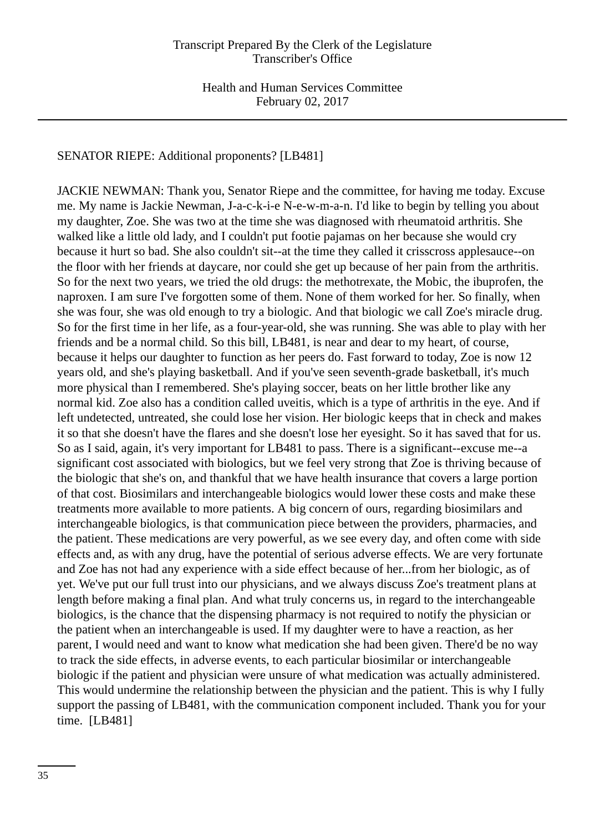## SENATOR RIEPE: Additional proponents? [LB481]

JACKIE NEWMAN: Thank you, Senator Riepe and the committee, for having me today. Excuse me. My name is Jackie Newman, J-a-c-k-i-e N-e-w-m-a-n. I'd like to begin by telling you about my daughter, Zoe. She was two at the time she was diagnosed with rheumatoid arthritis. She walked like a little old lady, and I couldn't put footie pajamas on her because she would cry because it hurt so bad. She also couldn't sit--at the time they called it crisscross applesauce--on the floor with her friends at daycare, nor could she get up because of her pain from the arthritis. So for the next two years, we tried the old drugs: the methotrexate, the Mobic, the ibuprofen, the naproxen. I am sure I've forgotten some of them. None of them worked for her. So finally, when she was four, she was old enough to try a biologic. And that biologic we call Zoe's miracle drug. So for the first time in her life, as a four-year-old, she was running. She was able to play with her friends and be a normal child. So this bill, LB481, is near and dear to my heart, of course, because it helps our daughter to function as her peers do. Fast forward to today, Zoe is now 12 years old, and she's playing basketball. And if you've seen seventh-grade basketball, it's much more physical than I remembered. She's playing soccer, beats on her little brother like any normal kid. Zoe also has a condition called uveitis, which is a type of arthritis in the eye. And if left undetected, untreated, she could lose her vision. Her biologic keeps that in check and makes it so that she doesn't have the flares and she doesn't lose her eyesight. So it has saved that for us. So as I said, again, it's very important for LB481 to pass. There is a significant--excuse me--a significant cost associated with biologics, but we feel very strong that Zoe is thriving because of the biologic that she's on, and thankful that we have health insurance that covers a large portion of that cost. Biosimilars and interchangeable biologics would lower these costs and make these treatments more available to more patients. A big concern of ours, regarding biosimilars and interchangeable biologics, is that communication piece between the providers, pharmacies, and the patient. These medications are very powerful, as we see every day, and often come with side effects and, as with any drug, have the potential of serious adverse effects. We are very fortunate and Zoe has not had any experience with a side effect because of her...from her biologic, as of yet. We've put our full trust into our physicians, and we always discuss Zoe's treatment plans at length before making a final plan. And what truly concerns us, in regard to the interchangeable biologics, is the chance that the dispensing pharmacy is not required to notify the physician or the patient when an interchangeable is used. If my daughter were to have a reaction, as her parent, I would need and want to know what medication she had been given. There'd be no way to track the side effects, in adverse events, to each particular biosimilar or interchangeable biologic if the patient and physician were unsure of what medication was actually administered. This would undermine the relationship between the physician and the patient. This is why I fully support the passing of LB481, with the communication component included. Thank you for your time. [LB481]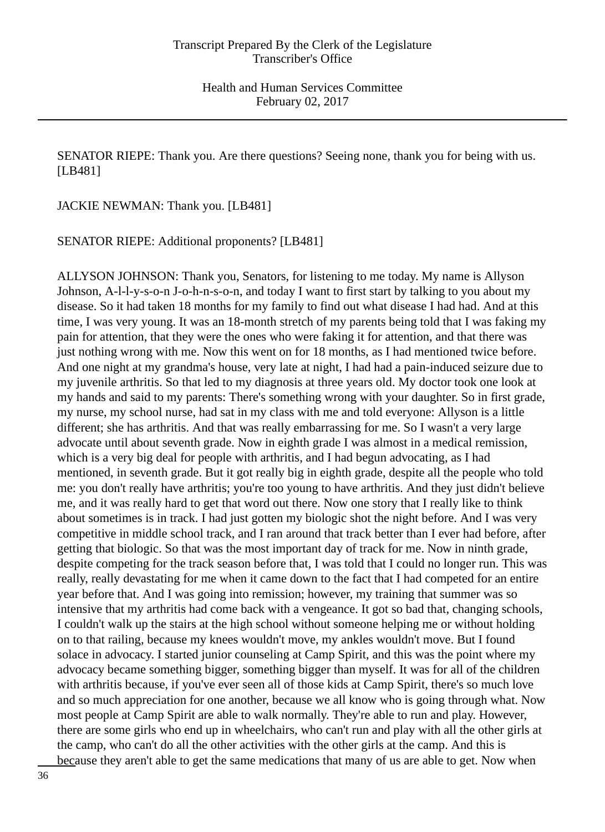SENATOR RIEPE: Thank you. Are there questions? Seeing none, thank you for being with us. [LB481]

JACKIE NEWMAN: Thank you. [LB481]

SENATOR RIEPE: Additional proponents? [LB481]

ALLYSON JOHNSON: Thank you, Senators, for listening to me today. My name is Allyson Johnson, A-l-l-y-s-o-n J-o-h-n-s-o-n, and today I want to first start by talking to you about my disease. So it had taken 18 months for my family to find out what disease I had had. And at this time, I was very young. It was an 18-month stretch of my parents being told that I was faking my pain for attention, that they were the ones who were faking it for attention, and that there was just nothing wrong with me. Now this went on for 18 months, as I had mentioned twice before. And one night at my grandma's house, very late at night, I had had a pain-induced seizure due to my juvenile arthritis. So that led to my diagnosis at three years old. My doctor took one look at my hands and said to my parents: There's something wrong with your daughter. So in first grade, my nurse, my school nurse, had sat in my class with me and told everyone: Allyson is a little different; she has arthritis. And that was really embarrassing for me. So I wasn't a very large advocate until about seventh grade. Now in eighth grade I was almost in a medical remission, which is a very big deal for people with arthritis, and I had begun advocating, as I had mentioned, in seventh grade. But it got really big in eighth grade, despite all the people who told me: you don't really have arthritis; you're too young to have arthritis. And they just didn't believe me, and it was really hard to get that word out there. Now one story that I really like to think about sometimes is in track. I had just gotten my biologic shot the night before. And I was very competitive in middle school track, and I ran around that track better than I ever had before, after getting that biologic. So that was the most important day of track for me. Now in ninth grade, despite competing for the track season before that, I was told that I could no longer run. This was really, really devastating for me when it came down to the fact that I had competed for an entire year before that. And I was going into remission; however, my training that summer was so intensive that my arthritis had come back with a vengeance. It got so bad that, changing schools, I couldn't walk up the stairs at the high school without someone helping me or without holding on to that railing, because my knees wouldn't move, my ankles wouldn't move. But I found solace in advocacy. I started junior counseling at Camp Spirit, and this was the point where my advocacy became something bigger, something bigger than myself. It was for all of the children with arthritis because, if you've ever seen all of those kids at Camp Spirit, there's so much love and so much appreciation for one another, because we all know who is going through what. Now most people at Camp Spirit are able to walk normally. They're able to run and play. However, there are some girls who end up in wheelchairs, who can't run and play with all the other girls at the camp, who can't do all the other activities with the other girls at the camp. And this is because they aren't able to get the same medications that many of us are able to get. Now when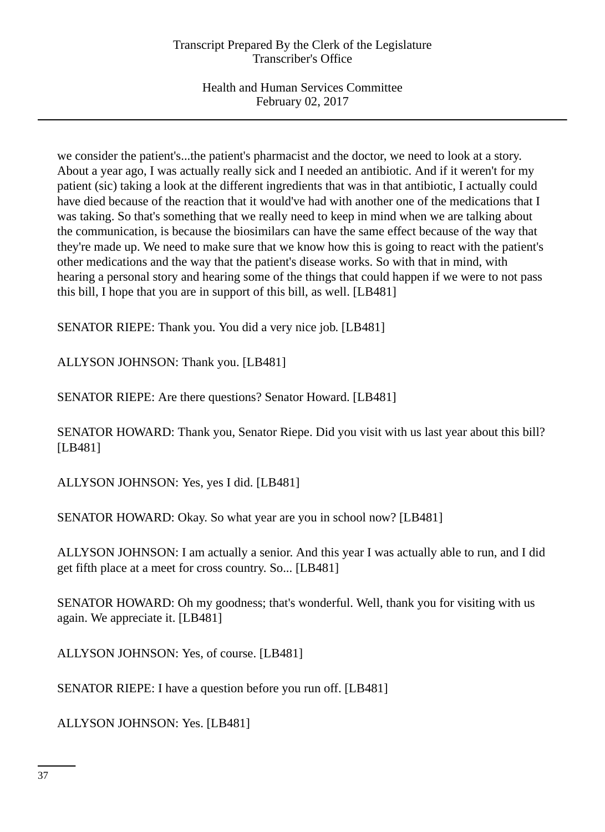we consider the patient's...the patient's pharmacist and the doctor, we need to look at a story. About a year ago, I was actually really sick and I needed an antibiotic. And if it weren't for my patient (sic) taking a look at the different ingredients that was in that antibiotic, I actually could have died because of the reaction that it would've had with another one of the medications that I was taking. So that's something that we really need to keep in mind when we are talking about the communication, is because the biosimilars can have the same effect because of the way that they're made up. We need to make sure that we know how this is going to react with the patient's other medications and the way that the patient's disease works. So with that in mind, with hearing a personal story and hearing some of the things that could happen if we were to not pass this bill, I hope that you are in support of this bill, as well. [LB481]

SENATOR RIEPE: Thank you. You did a very nice job. [LB481]

ALLYSON JOHNSON: Thank you. [LB481]

SENATOR RIEPE: Are there questions? Senator Howard. [LB481]

SENATOR HOWARD: Thank you, Senator Riepe. Did you visit with us last year about this bill? [LB481]

ALLYSON JOHNSON: Yes, yes I did. [LB481]

SENATOR HOWARD: Okay. So what year are you in school now? [LB481]

ALLYSON JOHNSON: I am actually a senior. And this year I was actually able to run, and I did get fifth place at a meet for cross country. So... [LB481]

SENATOR HOWARD: Oh my goodness; that's wonderful. Well, thank you for visiting with us again. We appreciate it. [LB481]

ALLYSON JOHNSON: Yes, of course. [LB481]

SENATOR RIEPE: I have a question before you run off. [LB481]

ALLYSON JOHNSON: Yes. [LB481]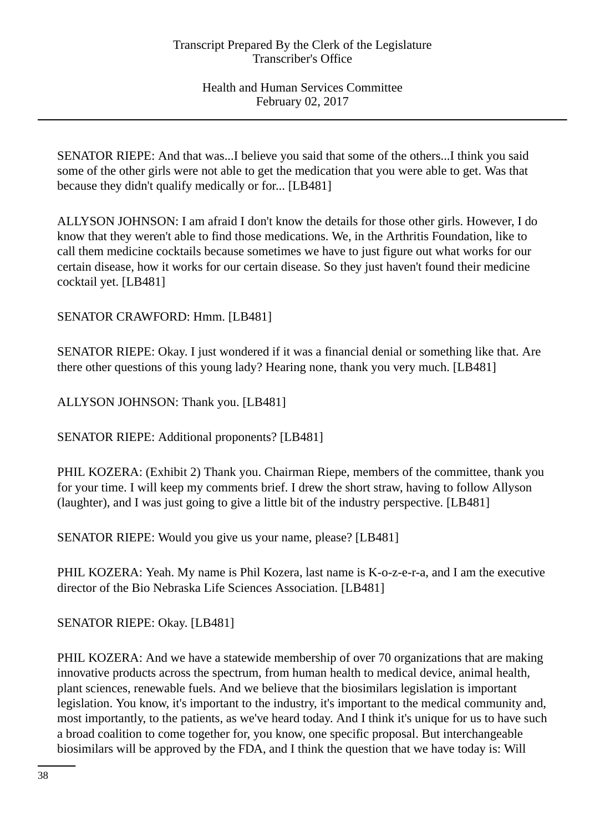SENATOR RIEPE: And that was...I believe you said that some of the others...I think you said some of the other girls were not able to get the medication that you were able to get. Was that because they didn't qualify medically or for... [LB481]

ALLYSON JOHNSON: I am afraid I don't know the details for those other girls. However, I do know that they weren't able to find those medications. We, in the Arthritis Foundation, like to call them medicine cocktails because sometimes we have to just figure out what works for our certain disease, how it works for our certain disease. So they just haven't found their medicine cocktail yet. [LB481]

SENATOR CRAWFORD: Hmm. [LB481]

SENATOR RIEPE: Okay. I just wondered if it was a financial denial or something like that. Are there other questions of this young lady? Hearing none, thank you very much. [LB481]

ALLYSON JOHNSON: Thank you. [LB481]

SENATOR RIEPE: Additional proponents? [LB481]

PHIL KOZERA: (Exhibit 2) Thank you. Chairman Riepe, members of the committee, thank you for your time. I will keep my comments brief. I drew the short straw, having to follow Allyson (laughter), and I was just going to give a little bit of the industry perspective. [LB481]

SENATOR RIEPE: Would you give us your name, please? [LB481]

PHIL KOZERA: Yeah. My name is Phil Kozera, last name is K-o-z-e-r-a, and I am the executive director of the Bio Nebraska Life Sciences Association. [LB481]

SENATOR RIEPE: Okay. [LB481]

PHIL KOZERA: And we have a statewide membership of over 70 organizations that are making innovative products across the spectrum, from human health to medical device, animal health, plant sciences, renewable fuels. And we believe that the biosimilars legislation is important legislation. You know, it's important to the industry, it's important to the medical community and, most importantly, to the patients, as we've heard today. And I think it's unique for us to have such a broad coalition to come together for, you know, one specific proposal. But interchangeable biosimilars will be approved by the FDA, and I think the question that we have today is: Will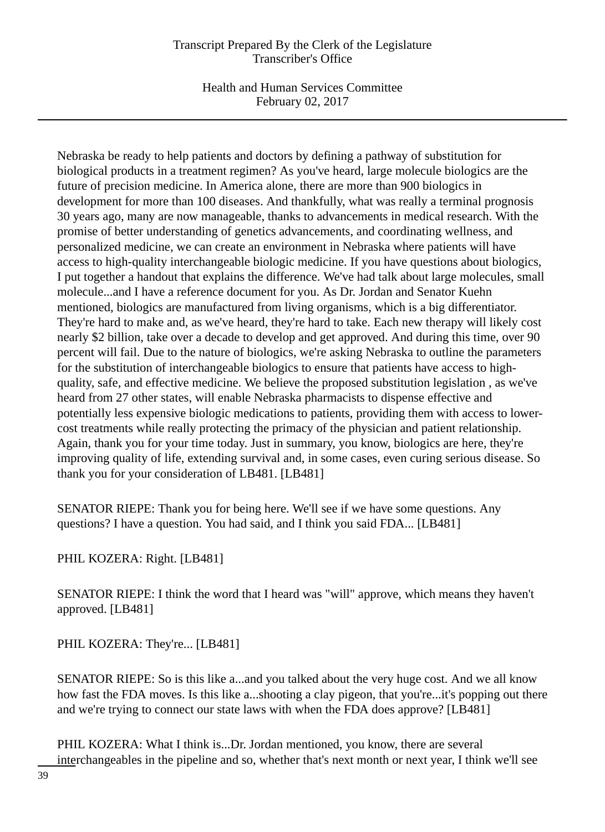Health and Human Services Committee February 02, 2017

Nebraska be ready to help patients and doctors by defining a pathway of substitution for biological products in a treatment regimen? As you've heard, large molecule biologics are the future of precision medicine. In America alone, there are more than 900 biologics in development for more than 100 diseases. And thankfully, what was really a terminal prognosis 30 years ago, many are now manageable, thanks to advancements in medical research. With the promise of better understanding of genetics advancements, and coordinating wellness, and personalized medicine, we can create an environment in Nebraska where patients will have access to high-quality interchangeable biologic medicine. If you have questions about biologics, I put together a handout that explains the difference. We've had talk about large molecules, small molecule...and I have a reference document for you. As Dr. Jordan and Senator Kuehn mentioned, biologics are manufactured from living organisms, which is a big differentiator. They're hard to make and, as we've heard, they're hard to take. Each new therapy will likely cost nearly \$2 billion, take over a decade to develop and get approved. And during this time, over 90 percent will fail. Due to the nature of biologics, we're asking Nebraska to outline the parameters for the substitution of interchangeable biologics to ensure that patients have access to highquality, safe, and effective medicine. We believe the proposed substitution legislation , as we've heard from 27 other states, will enable Nebraska pharmacists to dispense effective and potentially less expensive biologic medications to patients, providing them with access to lowercost treatments while really protecting the primacy of the physician and patient relationship. Again, thank you for your time today. Just in summary, you know, biologics are here, they're improving quality of life, extending survival and, in some cases, even curing serious disease. So thank you for your consideration of LB481. [LB481]

SENATOR RIEPE: Thank you for being here. We'll see if we have some questions. Any questions? I have a question. You had said, and I think you said FDA... [LB481]

PHIL KOZERA: Right. [LB481]

SENATOR RIEPE: I think the word that I heard was "will" approve, which means they haven't approved. [LB481]

PHIL KOZERA: They're... [LB481]

SENATOR RIEPE: So is this like a...and you talked about the very huge cost. And we all know how fast the FDA moves. Is this like a...shooting a clay pigeon, that you're...it's popping out there and we're trying to connect our state laws with when the FDA does approve? [LB481]

PHIL KOZERA: What I think is...Dr. Jordan mentioned, you know, there are several interchangeables in the pipeline and so, whether that's next month or next year, I think we'll see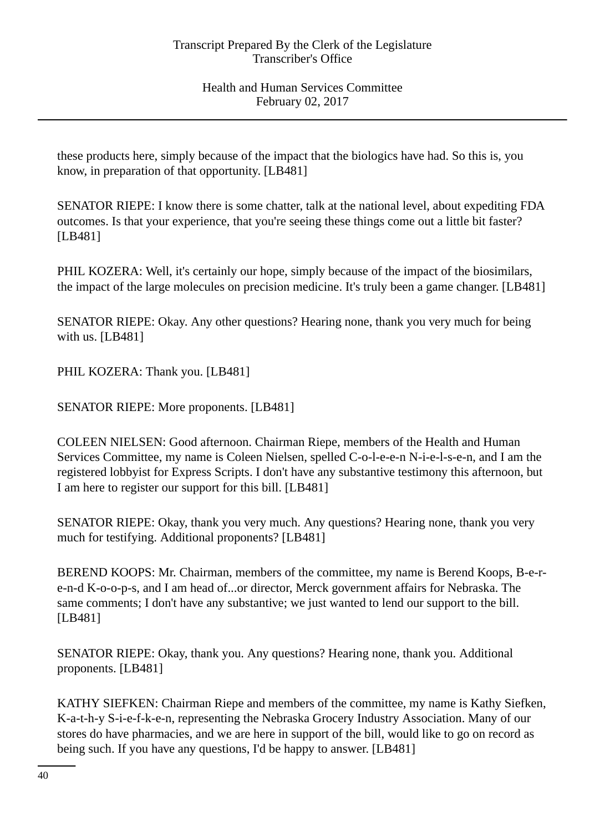these products here, simply because of the impact that the biologics have had. So this is, you know, in preparation of that opportunity. [LB481]

SENATOR RIEPE: I know there is some chatter, talk at the national level, about expediting FDA outcomes. Is that your experience, that you're seeing these things come out a little bit faster? [LB481]

PHIL KOZERA: Well, it's certainly our hope, simply because of the impact of the biosimilars, the impact of the large molecules on precision medicine. It's truly been a game changer. [LB481]

SENATOR RIEPE: Okay. Any other questions? Hearing none, thank you very much for being with us. [LB481]

PHIL KOZERA: Thank you. [LB481]

SENATOR RIEPE: More proponents. [LB481]

COLEEN NIELSEN: Good afternoon. Chairman Riepe, members of the Health and Human Services Committee, my name is Coleen Nielsen, spelled C-o-l-e-e-n N-i-e-l-s-e-n, and I am the registered lobbyist for Express Scripts. I don't have any substantive testimony this afternoon, but I am here to register our support for this bill. [LB481]

SENATOR RIEPE: Okay, thank you very much. Any questions? Hearing none, thank you very much for testifying. Additional proponents? [LB481]

BEREND KOOPS: Mr. Chairman, members of the committee, my name is Berend Koops, B-e-re-n-d K-o-o-p-s, and I am head of...or director, Merck government affairs for Nebraska. The same comments; I don't have any substantive; we just wanted to lend our support to the bill. [LB481]

SENATOR RIEPE: Okay, thank you. Any questions? Hearing none, thank you. Additional proponents. [LB481]

KATHY SIEFKEN: Chairman Riepe and members of the committee, my name is Kathy Siefken, K-a-t-h-y S-i-e-f-k-e-n, representing the Nebraska Grocery Industry Association. Many of our stores do have pharmacies, and we are here in support of the bill, would like to go on record as being such. If you have any questions, I'd be happy to answer. [LB481]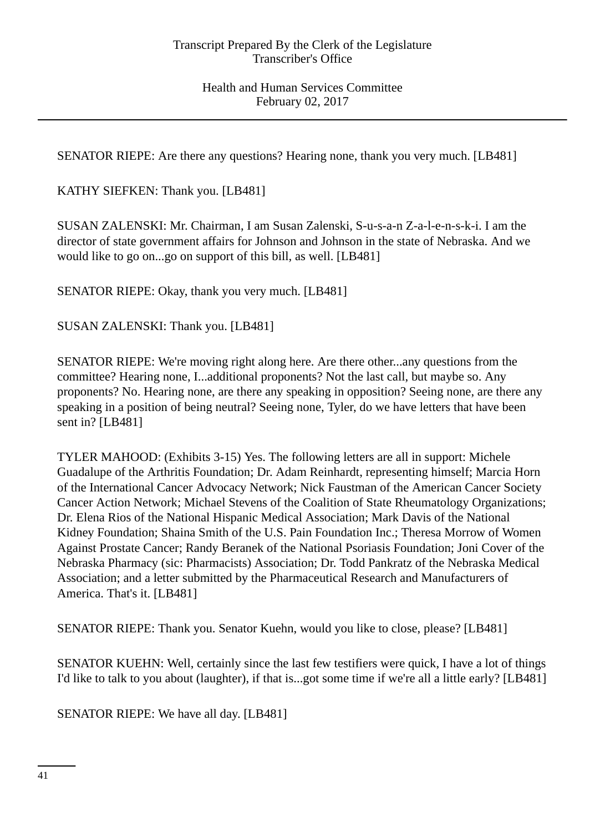SENATOR RIEPE: Are there any questions? Hearing none, thank you very much. [LB481]

KATHY SIEFKEN: Thank you. [LB481]

SUSAN ZALENSKI: Mr. Chairman, I am Susan Zalenski, S-u-s-a-n Z-a-l-e-n-s-k-i. I am the director of state government affairs for Johnson and Johnson in the state of Nebraska. And we would like to go on...go on support of this bill, as well. [LB481]

SENATOR RIEPE: Okay, thank you very much. [LB481]

SUSAN ZALENSKI: Thank you. [LB481]

SENATOR RIEPE: We're moving right along here. Are there other...any questions from the committee? Hearing none, I...additional proponents? Not the last call, but maybe so. Any proponents? No. Hearing none, are there any speaking in opposition? Seeing none, are there any speaking in a position of being neutral? Seeing none, Tyler, do we have letters that have been sent in? [LB481]

TYLER MAHOOD: (Exhibits 3-15) Yes. The following letters are all in support: Michele Guadalupe of the Arthritis Foundation; Dr. Adam Reinhardt, representing himself; Marcia Horn of the International Cancer Advocacy Network; Nick Faustman of the American Cancer Society Cancer Action Network; Michael Stevens of the Coalition of State Rheumatology Organizations; Dr. Elena Rios of the National Hispanic Medical Association; Mark Davis of the National Kidney Foundation; Shaina Smith of the U.S. Pain Foundation Inc.; Theresa Morrow of Women Against Prostate Cancer; Randy Beranek of the National Psoriasis Foundation; Joni Cover of the Nebraska Pharmacy (sic: Pharmacists) Association; Dr. Todd Pankratz of the Nebraska Medical Association; and a letter submitted by the Pharmaceutical Research and Manufacturers of America. That's it. [LB481]

SENATOR RIEPE: Thank you. Senator Kuehn, would you like to close, please? [LB481]

SENATOR KUEHN: Well, certainly since the last few testifiers were quick, I have a lot of things I'd like to talk to you about (laughter), if that is...got some time if we're all a little early? [LB481]

SENATOR RIEPE: We have all day. [LB481]